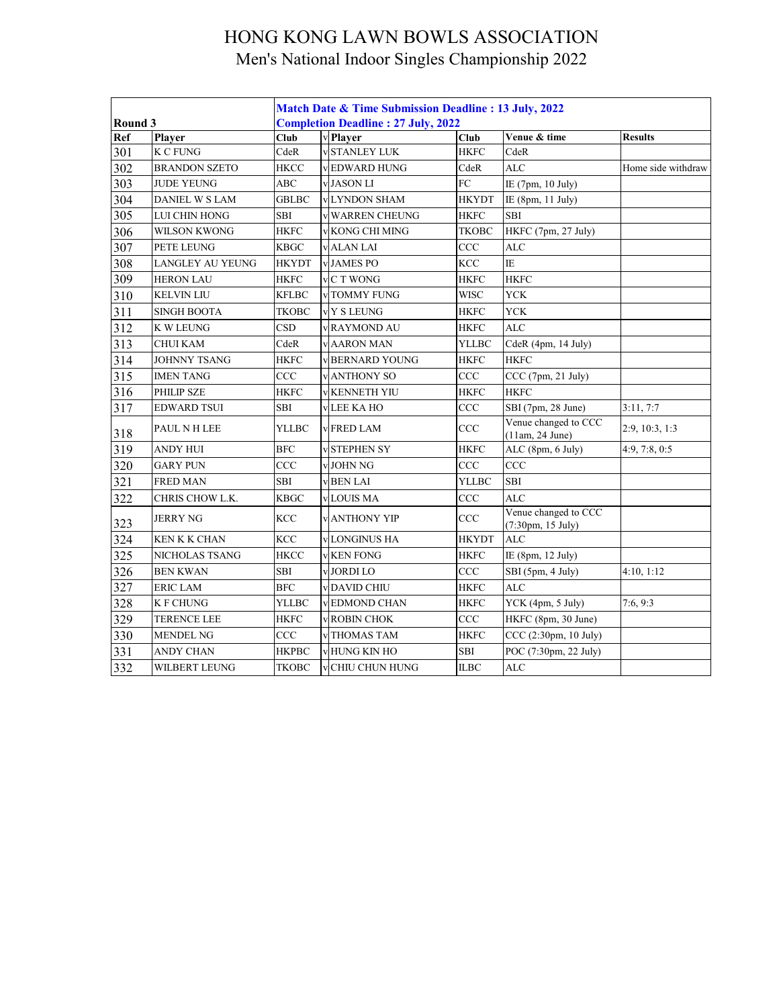|         |                         | Match Date & Time Submission Deadline: 13 July, 2022 |  |                                           |              |                                           |                    |  |  |
|---------|-------------------------|------------------------------------------------------|--|-------------------------------------------|--------------|-------------------------------------------|--------------------|--|--|
| Round 3 |                         |                                                      |  | <b>Completion Deadline: 27 July, 2022</b> |              |                                           |                    |  |  |
| Ref     | Player                  | Club                                                 |  | v Player                                  | Club         | Venue & time                              | <b>Results</b>     |  |  |
| 301     | <b>K C FUNG</b>         | CdeR                                                 |  | <b>v</b> STANLEY LUK                      | <b>HKFC</b>  | CdeR                                      |                    |  |  |
| 302     | <b>BRANDON SZETO</b>    | <b>HKCC</b>                                          |  | v EDWARD HUNG                             | CdeR         | <b>ALC</b>                                | Home side withdraw |  |  |
| 303     | <b>JUDE YEUNG</b>       | ABC                                                  |  | v JASON LI                                | FC           | IE (7pm, 10 July)                         |                    |  |  |
| 304     | <b>DANIEL W S LAM</b>   | <b>GBLBC</b>                                         |  | <b>v</b> LYNDON SHAM                      | <b>HKYDT</b> | IE (8pm, 11 July)                         |                    |  |  |
| 305     | LUI CHIN HONG           | <b>SBI</b>                                           |  | v WARREN CHEUNG                           | <b>HKFC</b>  | SBI                                       |                    |  |  |
| 306     | <b>WILSON KWONG</b>     | <b>HKFC</b>                                          |  | v KONG CHI MING                           | TKOBC        | HKFC (7pm, 27 July)                       |                    |  |  |
| 307     | PETE LEUNG              | <b>KBGC</b>                                          |  | <b>v</b> ALAN LAI                         | CCC          | <b>ALC</b>                                |                    |  |  |
| 308     | <b>LANGLEY AU YEUNG</b> | <b>HKYDT</b>                                         |  | <b>v JAMES PO</b>                         | KCC          | IE                                        |                    |  |  |
| 309     | <b>HERON LAU</b>        | <b>HKFC</b>                                          |  | v <sub>C</sub> T WONG                     | <b>HKFC</b>  | <b>HKFC</b>                               |                    |  |  |
| 310     | <b>KELVIN LIU</b>       | <b>KFLBC</b>                                         |  | v TOMMY FUNG                              | <b>WISC</b>  | <b>YCK</b>                                |                    |  |  |
| 311     | <b>SINGH BOOTA</b>      | <b>TKOBC</b>                                         |  | v Y S LEUNG                               | <b>HKFC</b>  | <b>YCK</b>                                |                    |  |  |
| 312     | K W LEUNG               | CSD                                                  |  | v RAYMOND AU                              | <b>HKFC</b>  | <b>ALC</b>                                |                    |  |  |
| 313     | <b>CHUI KAM</b>         | CdeR                                                 |  | <b>v AARON MAN</b>                        | YLLBC        | CdeR (4pm, 14 July)                       |                    |  |  |
| 314     | <b>JOHNNY TSANG</b>     | <b>HKFC</b>                                          |  | v BERNARD YOUNG                           | <b>HKFC</b>  | <b>HKFC</b>                               |                    |  |  |
| 315     | <b>IMEN TANG</b>        | CCC                                                  |  | <b>v</b> ANTHONY SO                       | CCC          | CCC (7pm, 21 July)                        |                    |  |  |
| 316     | <b>PHILIP SZE</b>       | <b>HKFC</b>                                          |  | <b>V KENNETH YIU</b>                      | <b>HKFC</b>  | <b>HKFC</b>                               |                    |  |  |
| 317     | <b>EDWARD TSUI</b>      | <b>SBI</b>                                           |  | <b>VLEE KAHO</b>                          | CCC          | SBI (7pm, 28 June)                        | 3:11, 7:7          |  |  |
| 318     | PAUL N H LEE            | YLLBC                                                |  | <b>v</b> FRED LAM                         | CCC          | Venue changed to CCC<br>(11am, 24 June)   | 2:9, 10:3, 1:3     |  |  |
| 319     | <b>ANDY HUI</b>         | BFC                                                  |  | <b>v</b> STEPHEN SY                       | <b>HKFC</b>  | ALC (8pm, 6 July)                         | 4:9, 7:8, 0:5      |  |  |
| 320     | <b>GARY PUN</b>         | <b>CCC</b>                                           |  | v JOHN NG                                 | CCC          | CCC                                       |                    |  |  |
| 321     | <b>FRED MAN</b>         | <b>SBI</b>                                           |  | <b>v BEN LAI</b>                          | <b>YLLBC</b> | SBI                                       |                    |  |  |
| 322     | CHRIS CHOW L.K.         | <b>KBGC</b>                                          |  | v LOUIS MA                                | CCC          | <b>ALC</b>                                |                    |  |  |
| 323     | <b>JERRY NG</b>         | <b>KCC</b>                                           |  | <b>v</b> ANTHONY YIP                      | CCC          | Venue changed to CCC<br>(7:30pm, 15 July) |                    |  |  |
| 324     | <b>KEN K K CHAN</b>     | <b>KCC</b>                                           |  | <b>v</b> LONGINUS HA                      | <b>HKYDT</b> | <b>ALC</b>                                |                    |  |  |
| 325     | NICHOLAS TSANG          | <b>HKCC</b>                                          |  | <b>v KEN FONG</b>                         | <b>HKFC</b>  | IE (8pm, 12 July)                         |                    |  |  |
| 326     | <b>BEN KWAN</b>         | SBI                                                  |  | v JORDI LO                                | CCC          | SBI (5pm, 4 July)                         | 4:10, 1:12         |  |  |
| 327     | <b>ERIC LAM</b>         | <b>BFC</b>                                           |  | v DAVID CHIU                              | <b>HKFC</b>  | <b>ALC</b>                                |                    |  |  |
| 328     | <b>K F CHUNG</b>        | <b>YLLBC</b>                                         |  | v EDMOND CHAN                             | <b>HKFC</b>  | YCK (4pm, 5 July)                         | 7:6, 9:3           |  |  |
| 329     | <b>TERENCE LEE</b>      | <b>HKFC</b>                                          |  | v ROBIN CHOK                              | CCC          | HKFC (8pm, 30 June)                       |                    |  |  |
| 330     | <b>MENDEL NG</b>        | CCC                                                  |  | v THOMAS TAM                              | <b>HKFC</b>  | CCC (2:30pm, 10 July)                     |                    |  |  |
| 331     | <b>ANDY CHAN</b>        | <b>HKPBC</b>                                         |  | <b>v</b> HUNG KIN HO                      | SBI          | POC (7:30pm, 22 July)                     |                    |  |  |
| 332     | WILBERT LEUNG           | <b>TKOBC</b>                                         |  | <b>v</b> CHIU CHUN HUNG                   | ILBC         | ALC                                       |                    |  |  |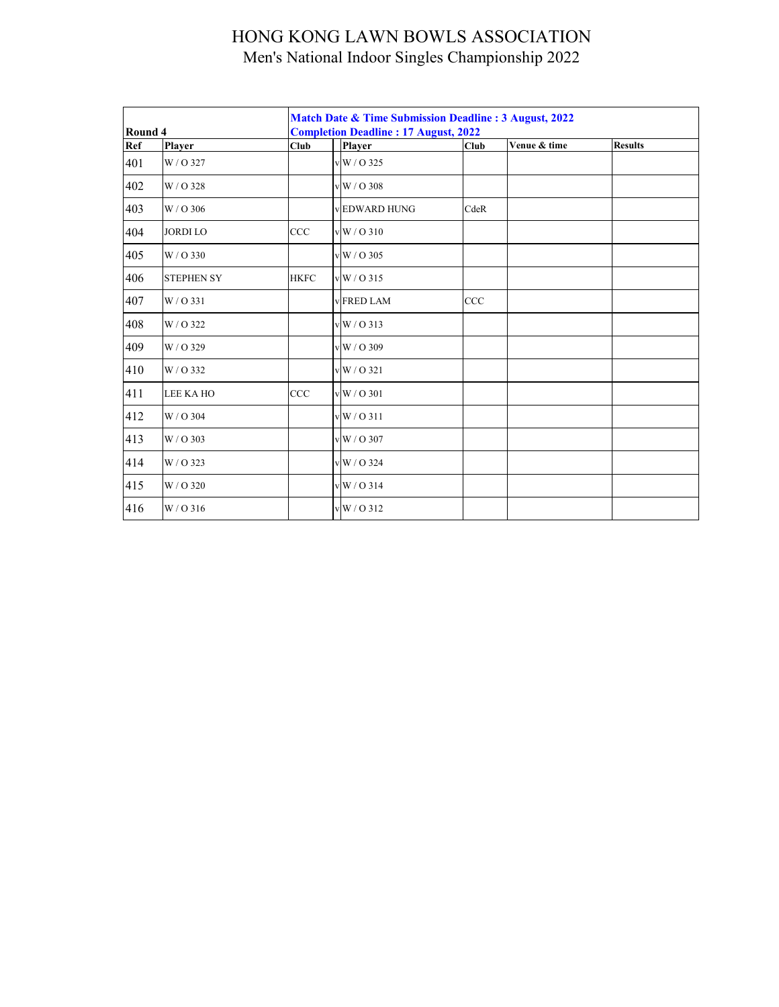|                |                   |             | Match Date & Time Submission Deadline: 3 August, 2022        |                    |            |              |                |  |  |
|----------------|-------------------|-------------|--------------------------------------------------------------|--------------------|------------|--------------|----------------|--|--|
| Round 4<br>Ref | <b>Player</b>     | Club        | <b>Completion Deadline: 17 August, 2022</b><br><b>Player</b> |                    |            | Venue & time | <b>Results</b> |  |  |
| 401            | W/O 327           |             |                                                              | v W / O 325        | Club       |              |                |  |  |
| 402            | W/O 328           |             |                                                              | v W / O 308        |            |              |                |  |  |
| 403            | W / O 306         |             |                                                              | <b>EDWARD HUNG</b> | CdeR       |              |                |  |  |
| 404            | <b>JORDI LO</b>   | CCC         |                                                              | vW/O310            |            |              |                |  |  |
| 405            | W / O 330         |             |                                                              | $v$ W / O 305      |            |              |                |  |  |
| 406            | <b>STEPHEN SY</b> | <b>HKFC</b> |                                                              | v W / O 315        |            |              |                |  |  |
| 407            | W/O 331           |             |                                                              | <b>FRED LAM</b>    | <b>CCC</b> |              |                |  |  |
| 408            | W / O 322         |             |                                                              | $vW/O$ 313         |            |              |                |  |  |
| 409            | W / O 329         |             |                                                              | v W / O 309        |            |              |                |  |  |
| 410            | W/O 332           |             |                                                              | $vW/O$ 321         |            |              |                |  |  |
| 411            | LEE KA HO         | CCC         |                                                              | v W / O 301        |            |              |                |  |  |
| 412            | W / O 304         |             |                                                              | vW/O311            |            |              |                |  |  |
| 413            | W / O 303         |             |                                                              | v W / O 307        |            |              |                |  |  |
| 414            | W / O 323         |             |                                                              | v W / O 324        |            |              |                |  |  |
| 415            | W / O 320         |             |                                                              | v W / O 314        |            |              |                |  |  |
| 416            | $W/O$ 316         |             |                                                              | vW/O312            |            |              |                |  |  |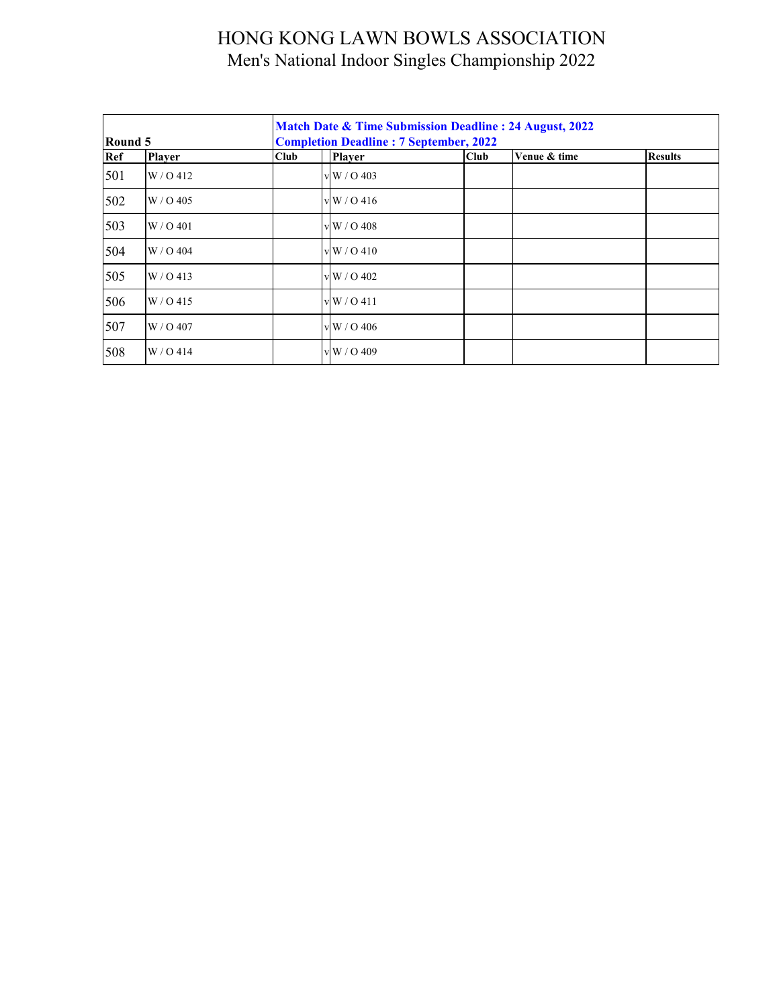| Round 5 |               |             | Match Date & Time Submission Deadline: 24 August, 2022<br><b>Completion Deadline: 7 September, 2022</b> |                    |      |              |                |  |  |  |
|---------|---------------|-------------|---------------------------------------------------------------------------------------------------------|--------------------|------|--------------|----------------|--|--|--|
| Ref     | <b>Player</b> | <b>Club</b> |                                                                                                         | <b>Player</b>      | Club | Venue & time | <b>Results</b> |  |  |  |
| 501     | W / O 412     |             |                                                                                                         | v W / O 403        |      |              |                |  |  |  |
| 502     | $W / O$ 405   |             |                                                                                                         | vW/0416            |      |              |                |  |  |  |
| 503     | W / O 401     |             |                                                                                                         | vW/0.408           |      |              |                |  |  |  |
| 504     | W / O 404     |             |                                                                                                         | vW/0410            |      |              |                |  |  |  |
| 505     | $W / O$ 413   |             |                                                                                                         | $\rm v\,W$ / O 402 |      |              |                |  |  |  |
| 506     | $W / O$ 415   |             |                                                                                                         | vW/0411            |      |              |                |  |  |  |
| 507     | W / O 407     |             |                                                                                                         | $\rm v\,W$ / O 406 |      |              |                |  |  |  |
| 508     | W / O 414     |             |                                                                                                         | v W / O 409        |      |              |                |  |  |  |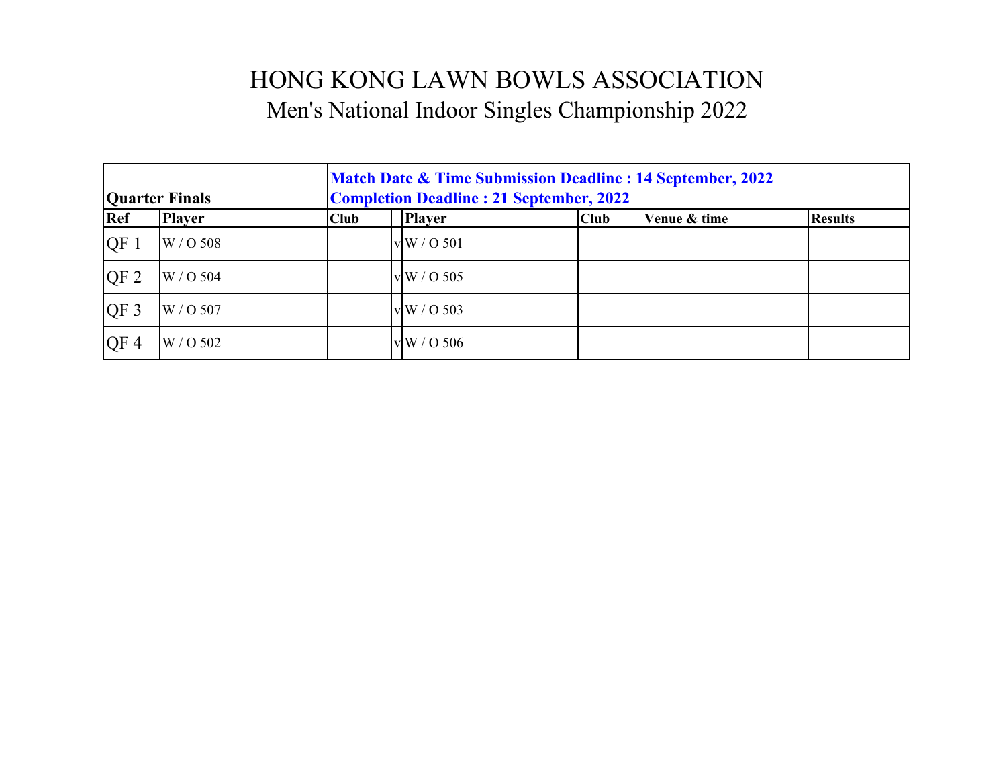| <b>Quarter Finals</b> |               | <b>Match Date &amp; Time Submission Deadline : 14 September, 2022</b><br><b>Completion Deadline: 21 September, 2022</b> |                    |      |              |                |  |  |  |
|-----------------------|---------------|-------------------------------------------------------------------------------------------------------------------------|--------------------|------|--------------|----------------|--|--|--|
| Ref                   | <b>Player</b> | <b>Club</b>                                                                                                             | <b>Player</b>      | Club | Venue & time | <b>Results</b> |  |  |  |
| QF1                   | W / O 508     |                                                                                                                         | vW/O 501           |      |              |                |  |  |  |
| QF <sub>2</sub>       | W / O 504     |                                                                                                                         | vW / O 505         |      |              |                |  |  |  |
| $QF_3$                | W / O 507     |                                                                                                                         | vW/O 503           |      |              |                |  |  |  |
| QF <sub>4</sub>       | W / O 502     |                                                                                                                         | $\rm v\,W$ / O 506 |      |              |                |  |  |  |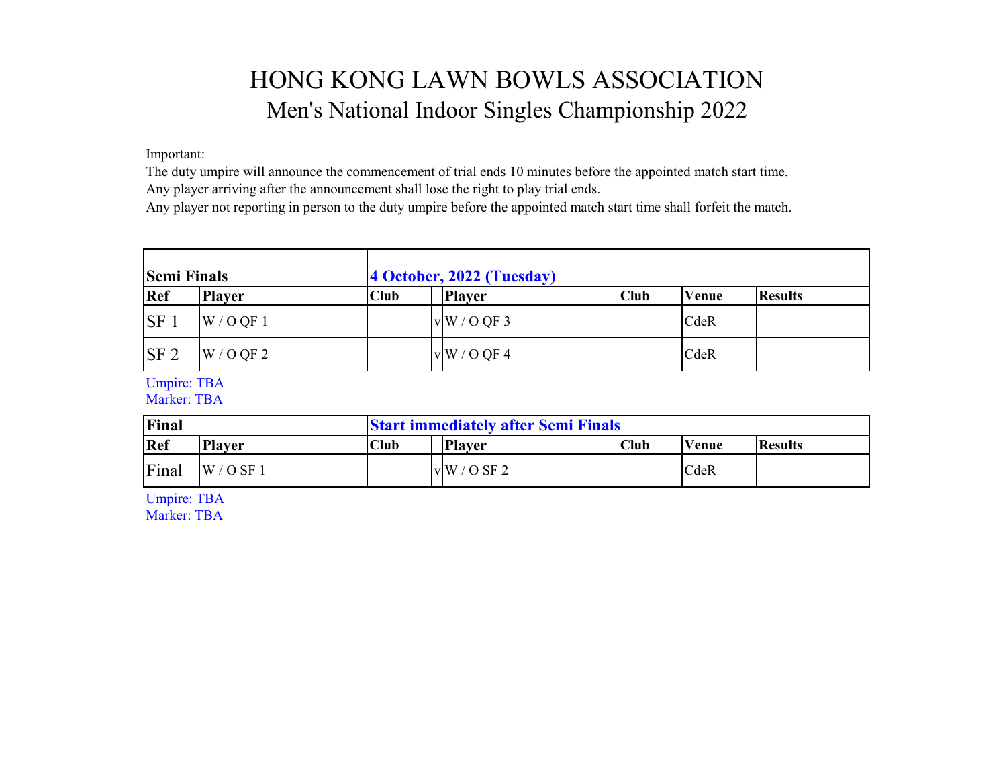Important:

The duty umpire will announce the commencement of trial ends 10 minutes before the appointed match start time. Any player arriving after the announcement shall lose the right to play trial ends.

Any player not reporting in person to the duty umpire before the appointed match start time shall forfeit the match.

| <b>Semi Finals</b> |               | 4 October, 2022 (Tuesday) |               |      |              |                |
|--------------------|---------------|---------------------------|---------------|------|--------------|----------------|
| Ref                | <b>Player</b> | <b>Club</b>               | <b>Player</b> | Club | <b>Venue</b> | <b>Results</b> |
| <b>SF</b>          | W / O QF 1    |                           | vW/OQF3       |      | CdeR         |                |
| SF <sub>2</sub>    | W / O QF 2    |                           | vW/OQF4       |      | CdeR         |                |

Umpire: TBA

Marker: TBA

| Final |               | <b>Start immediately after Semi Finals</b> |               |             |              |                |  |
|-------|---------------|--------------------------------------------|---------------|-------------|--------------|----------------|--|
| Ref   | <b>Player</b> | Club                                       | <b>Player</b> | <b>Club</b> | <b>Venue</b> | <b>Results</b> |  |
| Final | $W / O$ SF 1  |                                            | vW/OSF2       |             | CdeR         |                |  |

Umpire: TBA

Marker: TBA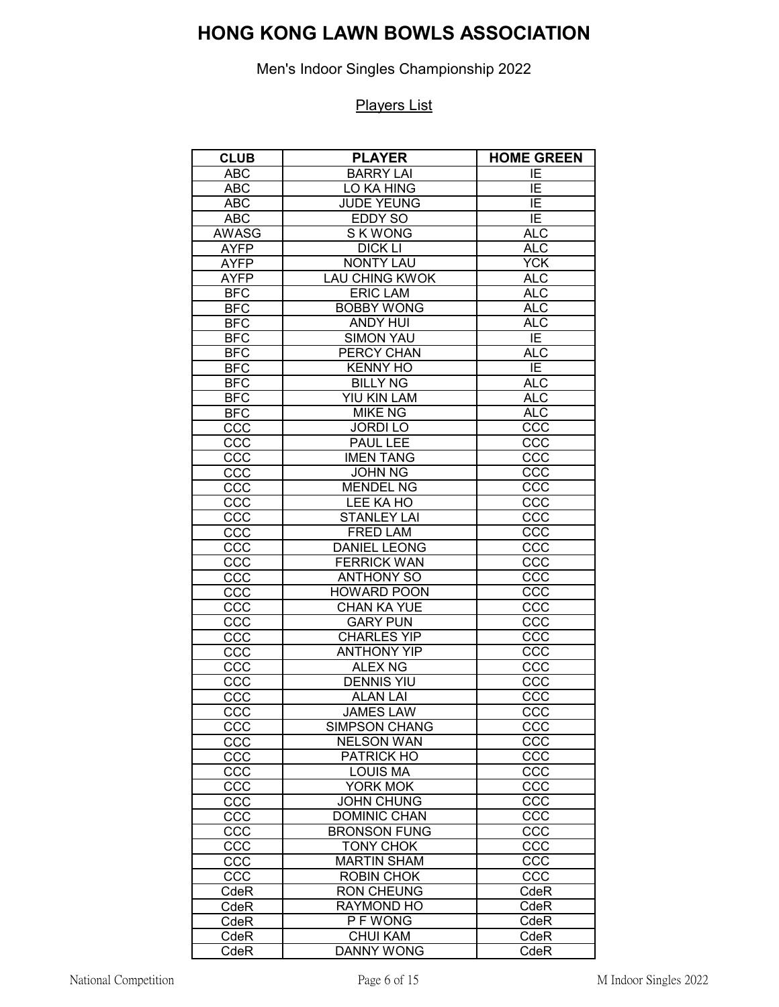Men's Indoor Singles Championship 2022

| <b>CLUB</b>  | <b>PLAYER</b>         | <b>HOME GREEN</b> |
|--------------|-----------------------|-------------------|
| <b>ABC</b>   | <b>BARRY LAI</b>      | ΙE                |
| <b>ABC</b>   | <b>LO KA HING</b>     | ΙE                |
| <b>ABC</b>   | <b>JUDE YEUNG</b>     | ΙE                |
| <b>ABC</b>   | <b>EDDY SO</b>        | $\overline{IE}$   |
| <b>AWASG</b> | <b>SKWONG</b>         | <b>ALC</b>        |
| <b>AYFP</b>  | <b>DICK LI</b>        | <b>ALC</b>        |
| <b>AYFP</b>  | <b>NONTY LAU</b>      | <b>YCK</b>        |
| <b>AYFP</b>  | <b>LAU CHING KWOK</b> | <b>ALC</b>        |
| <b>BFC</b>   | <b>ERIC LAM</b>       | <b>ALC</b>        |
| <b>BFC</b>   | <b>BOBBY WONG</b>     | <b>ALC</b>        |
| <b>BFC</b>   | <b>ANDY HUI</b>       | <b>ALC</b>        |
| <b>BFC</b>   | <b>SIMON YAU</b>      | ΙE                |
| <b>BFC</b>   | PERCY CHAN            | <b>ALC</b>        |
| <b>BFC</b>   | <b>KENNY HO</b>       | $\overline{E}$    |
| <b>BFC</b>   | <b>BILLY NG</b>       | <b>ALC</b>        |
| <b>BFC</b>   | YIU KIN LAM           | <b>ALC</b>        |
| <b>BFC</b>   | <b>MIKE NG</b>        | <b>ALC</b>        |
| CCC          | <b>JORDILO</b>        | CCC               |
| CCC          | <b>PAUL LEE</b>       | CCC               |
| CCC          | <b>IMEN TANG</b>      | CCC               |
| CCC          | <b>JOHN NG</b>        | CCC               |
| CCC          | <b>MENDEL NG</b>      | CCC               |
| CCC          | LEE KA HO             | CCC               |
| CCC          | <b>STANLEY LAI</b>    | CCC               |
| CCC          | <b>FRED LAM</b>       | CCC               |
| CCC          | <b>DANIEL LEONG</b>   | CCC               |
| CCC          | <b>FERRICK WAN</b>    | CCC               |
| CCC          | <b>ANTHONY SO</b>     | CCC               |
| CCC          | <b>HOWARD POON</b>    | CCC               |
| CCC          | <b>CHAN KA YUE</b>    | ccc               |
| CCC          | <b>GARY PUN</b>       | CCC               |
| CCC          | <b>CHARLES YIP</b>    | ccc               |
| CCC          | <b>ANTHONY YIP</b>    | CCC               |
| CCC          | <b>ALEX NG</b>        | CCC               |
| CCC          | <b>DENNIS YIU</b>     | CC <sub>C</sub>   |
| CCC          | <b>ALAN LAI</b>       | CCC               |
| CCC          | <b>JAMES LAW</b>      | CCC               |
| CCC          | <b>SIMPSON CHANG</b>  | CCC               |
| CCC          | <b>NELSON WAN</b>     | $cc\bar{c}$       |
| CCC          | PATRICK HO            | ccc               |
| CCC          | <b>LOUIS MA</b>       | $cc\overline{c}$  |
| CCC          | YORK MOK              | CCC               |
| CCC          | <b>JOHN CHUNG</b>     | ccc               |
| CCC          | <b>DOMINIC CHAN</b>   | CCC               |
| CCC          | <b>BRONSON FUNG</b>   | CCC               |
| CCC          | <b>TONY CHOK</b>      | CCC               |
| ccc          | <b>MARTIN SHAM</b>    | CCC               |
| CCC          | <b>ROBIN CHOK</b>     | CCC               |
| $C$ de $R$   | <b>RON CHEUNG</b>     | CdeR              |
| CdeR         | RAYMOND HO            | CdeR              |
| CdeR         | <b>PFWONG</b>         | CdeR              |
| CdeR         | <b>CHUI KAM</b>       | CdeR              |
| CdeR         | <b>DANNY WONG</b>     | CdeR              |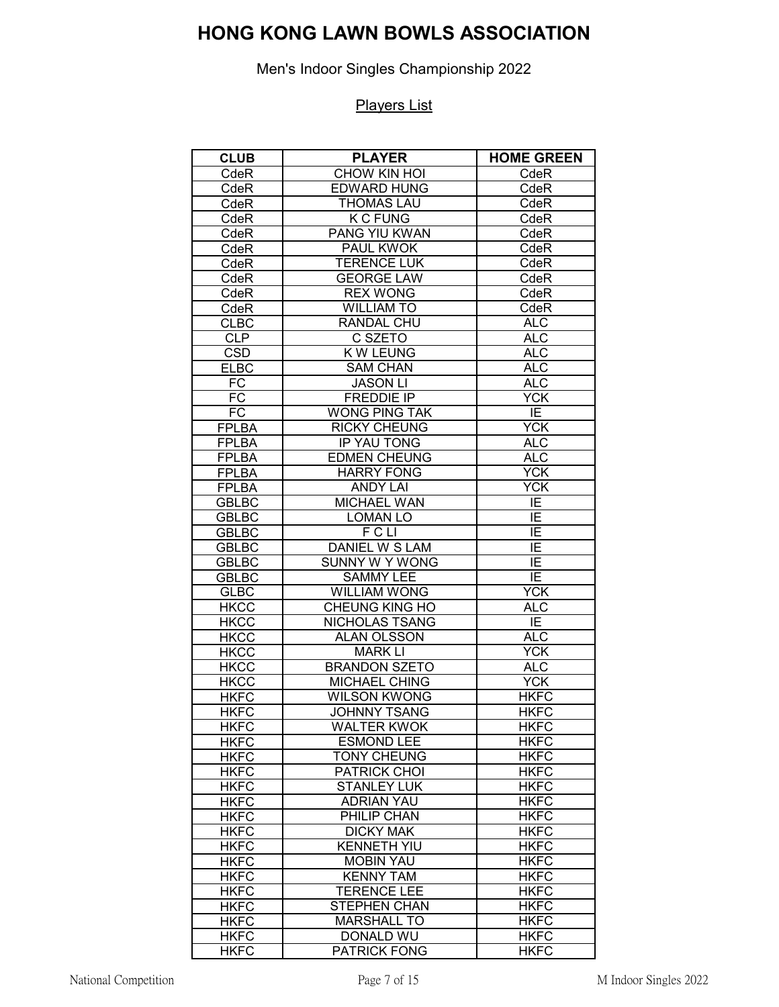Men's Indoor Singles Championship 2022

| <b>CLUB</b>                | <b>PLAYER</b>                           | <b>HOME GREEN</b>          |
|----------------------------|-----------------------------------------|----------------------------|
| CdeR                       | CHOW KIN HOI                            | CdeR                       |
| CdeR                       | <b>EDWARD HUNG</b>                      | CdeR                       |
| CdeR                       | <b>THOMAS LAU</b>                       | CdeR                       |
| CdeR                       | <b>K C FUNG</b>                         | CdeR                       |
| CdeR                       | <b>PANG YIU KWAN</b>                    | CdeR                       |
| CdeR                       | PAUL KWOK                               | CdeR                       |
| CdeR                       | <b>TERENCE LUK</b>                      | CdeR                       |
| CdeR                       | <b>GEORGE LAW</b>                       | CdeR                       |
| CdeR                       | <b>REX WONG</b>                         | CdeR                       |
| CdeR                       | <b>WILLIAM TO</b>                       | CdeR                       |
| <b>CLBC</b>                | RANDAL CHU                              | <b>ALC</b>                 |
| CLP                        | C SZETO                                 | <b>ALC</b>                 |
| <b>CSD</b>                 | <b>KW LEUNG</b>                         | <b>ALC</b>                 |
| <b>ELBC</b>                | <b>SAM CHAN</b>                         | <b>ALC</b>                 |
| FC                         | <b>JASON LI</b>                         | <b>ALC</b>                 |
| <b>FC</b>                  | <b>FREDDIE IP</b>                       | <b>YCK</b>                 |
| <b>FC</b>                  | <b>WONG PING TAK</b>                    | IE                         |
| <b>FPLBA</b>               | <b>RICKY CHEUNG</b>                     | <b>YCK</b>                 |
| <b>FPLBA</b>               | IP YAU TONG                             | <b>ALC</b>                 |
| <b>FPLBA</b>               | <b>EDMEN CHEUNG</b>                     | <b>ALC</b>                 |
| <b>FPLBA</b>               | <b>HARRY FONG</b>                       | <b>YCK</b>                 |
| <b>FPLBA</b>               | <b>ANDY LAI</b>                         | <b>YCK</b>                 |
| GBLBC                      | <b>MICHAEL WAN</b>                      | IE                         |
| <b>GBLBC</b>               | <b>LOMAN LO</b>                         | ΙE                         |
| <b>GBLBC</b>               | <b>FCLI</b>                             | IΕ                         |
| <b>GBLBC</b>               | DANIEL W S LAM                          | IΕ                         |
| <b>GBLBC</b>               | <b>SUNNY W Y WONG</b>                   | ΙE                         |
| <b>GBLBC</b>               | <b>SAMMY LEE</b>                        | IE                         |
| <b>GLBC</b>                | <b>WILLIAM WONG</b>                     | <b>YCK</b>                 |
| <b>HKCC</b>                | <b>CHEUNG KING HO</b>                   | <b>ALC</b>                 |
| <b>HKCC</b>                | NICHOLAS TSANG                          | ΙE                         |
| <b>HKCC</b>                | <b>ALAN OLSSON</b>                      | <b>ALC</b>                 |
| <b>HKCC</b>                | <b>MARK LI</b>                          | <b>YCK</b>                 |
| <b>HKCC</b>                | <b>BRANDON SZETO</b>                    | <b>ALC</b>                 |
| <b>HKCC</b>                | <b>MICHAEL CHING</b>                    | <b>YCK</b>                 |
| <b>HKFC</b>                | <b>WILSON KWONG</b>                     | <b>HKFC</b>                |
| <b>HKFC</b>                | <b>JOHNNY TSANG</b>                     | <b>HKFC</b><br><b>HKFC</b> |
| <b>HKFC</b><br><b>HKFC</b> | <b>WALTER KWOK</b><br><b>ESMOND LEE</b> | <b>HKFC</b>                |
| <b>HKFC</b>                | <b>TONY CHEUNG</b>                      | <b>HKFC</b>                |
| <b>HKFC</b>                | PATRICK CHOI                            | <b>HKFC</b>                |
|                            | <b>STANLEY LUK</b>                      | <b>HKFC</b>                |
| <b>HKFC</b><br><b>HKFC</b> | <b>ADRIAN YAU</b>                       | <b>HKFC</b>                |
| <b>HKFC</b>                | PHILIP CHAN                             | <b>HKFC</b>                |
| <b>HKFC</b>                | <b>DICKY MAK</b>                        | <b>HKFC</b>                |
| <b>HKFC</b>                | <b>KENNETH YIU</b>                      | <b>HKFC</b>                |
| <b>HKFC</b>                | <b>MOBIN YAU</b>                        | <b>HKFC</b>                |
|                            | <b>KENNY TAM</b>                        | <b>HKFC</b>                |
| <b>HKFC</b><br><b>HKFC</b> | <b>TERENCE LEE</b>                      | <b>HKFC</b>                |
| <b>HKFC</b>                | <b>STEPHEN CHAN</b>                     | <b>HKFC</b>                |
| <b>HKFC</b>                | <b>MARSHALL TO</b>                      | <b>HKFC</b>                |
| <b>HKFC</b>                | DONALD WU                               | <b>HKFC</b>                |
| <b>HKFC</b>                | <b>PATRICK FONG</b>                     | <b>HKFC</b>                |
|                            |                                         |                            |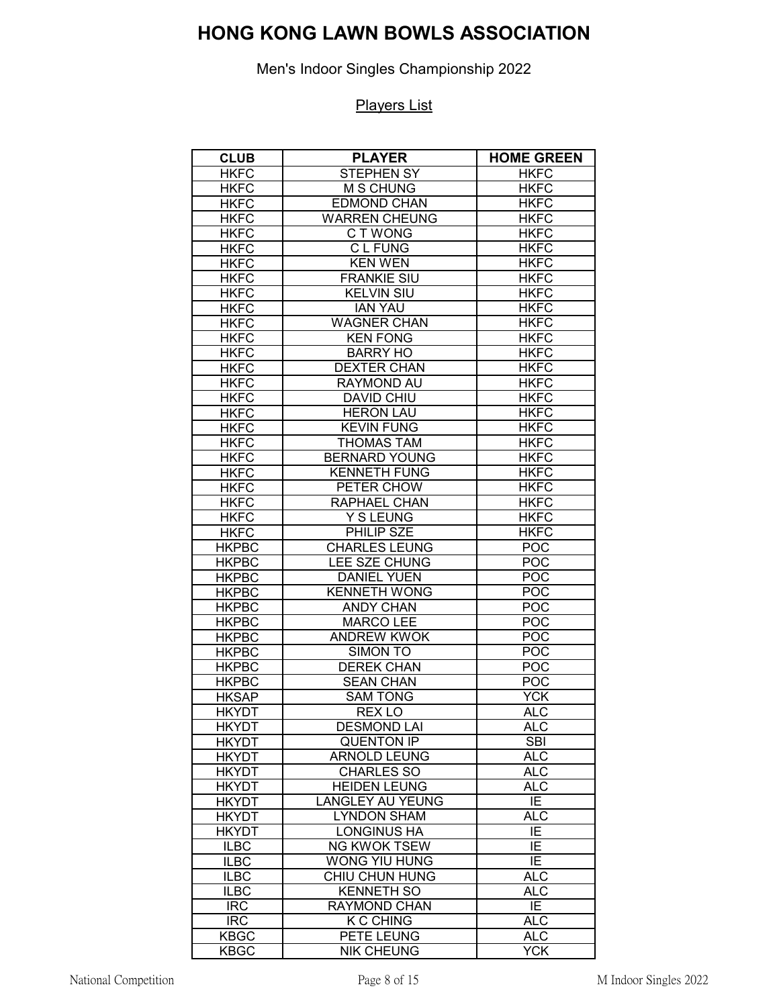Men's Indoor Singles Championship 2022

| <b>CLUB</b>  | <b>PLAYER</b>           | <b>HOME GREEN</b> |
|--------------|-------------------------|-------------------|
| <b>HKFC</b>  | <b>STEPHEN SY</b>       | <b>HKFC</b>       |
| <b>HKFC</b>  | $\overline{M}$ S CHUNG  | <b>HKFC</b>       |
| <b>HKFC</b>  | <b>EDMOND CHAN</b>      | <b>HKFC</b>       |
| <b>HKFC</b>  | <b>WARREN CHEUNG</b>    | <b>HKFC</b>       |
| <b>HKFC</b>  | C T WONG                | <b>HKFC</b>       |
| <b>HKFC</b>  | <b>CLFUNG</b>           | <b>HKFC</b>       |
| <b>HKFC</b>  | <b>KEN WEN</b>          | <b>HKFC</b>       |
| <b>HKFC</b>  | <b>FRANKIE SIU</b>      | <b>HKFC</b>       |
| <b>HKFC</b>  | <b>KELVIN SIU</b>       | <b>HKFC</b>       |
| <b>HKFC</b>  | <b>IAN YAU</b>          | <b>HKFC</b>       |
| <b>HKFC</b>  | <b>WAGNER CHAN</b>      | <b>HKFC</b>       |
| <b>HKFC</b>  | <b>KEN FONG</b>         | <b>HKFC</b>       |
| <b>HKFC</b>  | <b>BARRY HO</b>         | <b>HKFC</b>       |
| <b>HKFC</b>  | <b>DEXTER CHAN</b>      | <b>HKFC</b>       |
| <b>HKFC</b>  | <b>RAYMOND AU</b>       | <b>HKFC</b>       |
| <b>HKFC</b>  | <b>DAVID CHIU</b>       | <b>HKFC</b>       |
| <b>HKFC</b>  | <b>HERON LAU</b>        | <b>HKFC</b>       |
| <b>HKFC</b>  | <b>KEVIN FUNG</b>       | <b>HKFC</b>       |
| <b>HKFC</b>  | <b>THOMAS TAM</b>       | <b>HKFC</b>       |
| <b>HKFC</b>  | <b>BERNARD YOUNG</b>    | <b>HKFC</b>       |
| <b>HKFC</b>  | <b>KENNETH FUNG</b>     | <b>HKFC</b>       |
| <b>HKFC</b>  | PETER CHOW              | <b>HKFC</b>       |
| <b>HKFC</b>  | RAPHAEL CHAN            | <b>HKFC</b>       |
| <b>HKFC</b>  | Y S LEUNG               | <b>HKFC</b>       |
| <b>HKFC</b>  | PHILIP SZE              | <b>HKFC</b>       |
| <b>HKPBC</b> | <b>CHARLES LEUNG</b>    | <b>POC</b>        |
| <b>HKPBC</b> | LEE SZE CHUNG           | <b>POC</b>        |
| <b>HKPBC</b> | <b>DANIEL YUEN</b>      | POC               |
| <b>HKPBC</b> | <b>KENNETH WONG</b>     | POC               |
| <b>HKPBC</b> | <b>ANDY CHAN</b>        | POC               |
| <b>HKPBC</b> | <b>MARCO LEE</b>        | POC               |
| <b>HKPBC</b> | <b>ANDREW KWOK</b>      | <b>POC</b>        |
| <b>HKPBC</b> | SIMON TO                | POC               |
| <b>HKPBC</b> | <b>DEREK CHAN</b>       | <b>POC</b>        |
| <b>HKPBC</b> | <b>SEAN CHAN</b>        | <b>POC</b>        |
| <b>HKSAP</b> | <b>SAM TONG</b>         | <b>YCK</b>        |
| <b>HKYDT</b> | REX <sub>LO</sub>       | <b>ALC</b>        |
| <b>HKYDT</b> | <b>DESMOND LAI</b>      | <b>ALC</b>        |
| <b>HKYDT</b> | <b>QUENTON IP</b>       | <b>SBI</b>        |
| <b>HKYDT</b> | <b>ARNOLD LEUNG</b>     | ALC               |
| <b>HKYDT</b> | <b>CHARLES SO</b>       | $AL\overline{C}$  |
| <b>HKYDT</b> | <b>HEIDEN LEUNG</b>     | <b>ALC</b>        |
| <b>HKYDT</b> | <b>LANGLEY AU YEUNG</b> | IE                |
| <b>HKYDT</b> | <b>LYNDON SHAM</b>      | <b>ALC</b>        |
| <b>HKYDT</b> | <b>LONGINUS HA</b>      | IE                |
| <b>ILBC</b>  | <b>NG KWOK TSEW</b>     | $\overline{E}$    |
| <b>ILBC</b>  | WONG YIU HUNG           | IE                |
| <b>ILBC</b>  | CHIU CHUN HUNG          | <b>ALC</b>        |
| <b>ILBC</b>  | <b>KENNETH SO</b>       | <b>ALC</b>        |
| <b>IRC</b>   | <b>RAYMOND CHAN</b>     | IE.               |
| <b>IRC</b>   | <b>K C CHING</b>        | <b>ALC</b>        |
| <b>KBGC</b>  | PETE LEUNG              | <b>ALC</b>        |
| <b>KBGC</b>  | <b>NIK CHEUNG</b>       | <b>YCK</b>        |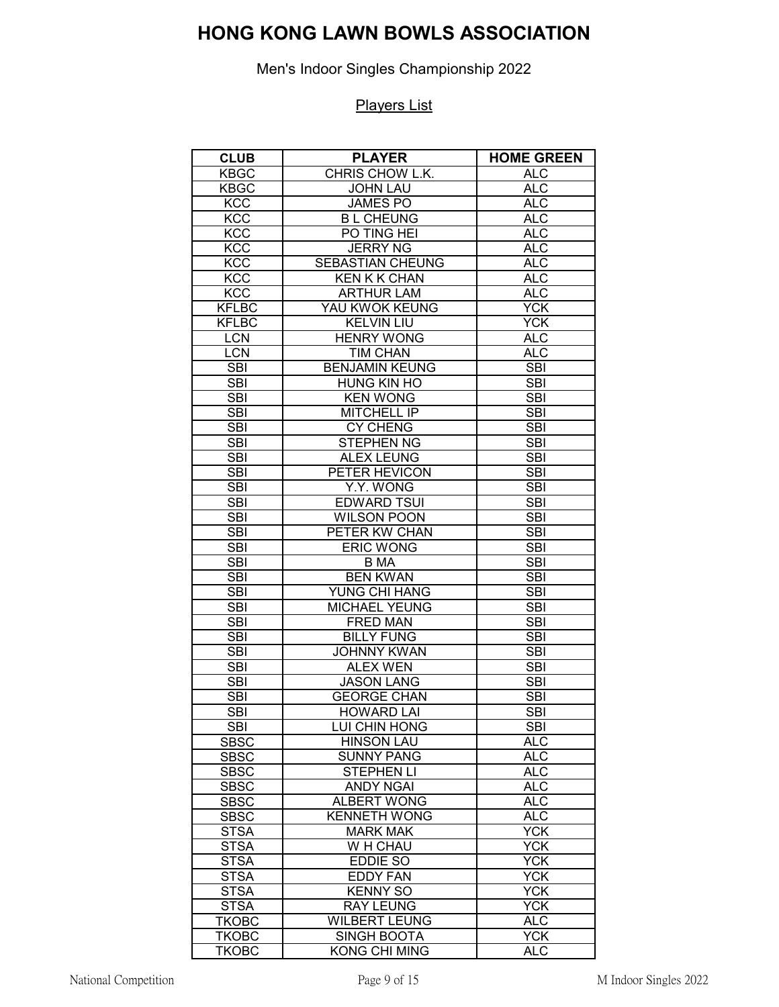Men's Indoor Singles Championship 2022

| <b>CLUB</b>                | <b>PLAYER</b>                      | <b>HOME GREEN</b>        |
|----------------------------|------------------------------------|--------------------------|
| <b>KBGC</b>                | CHRIS CHOW L.K.                    | ALC                      |
| <b>KBGC</b>                | <b>JOHN LAU</b>                    | <b>ALC</b>               |
| <b>KCC</b>                 | <b>JAMES PO</b>                    | <b>ALC</b>               |
| <b>KCC</b>                 | <b>BL CHEUNG</b>                   | <b>ALC</b>               |
| <b>KCC</b>                 | PO TING HEI                        | <b>ALC</b>               |
| KCC                        | <b>JERRY NG</b>                    | ALC                      |
| <b>KCC</b>                 | <b>SEBASTIAN CHEUNG</b>            | <b>ALC</b>               |
| <b>KCC</b>                 | <b>KEN K K CHAN</b>                | ALC                      |
| <b>KCC</b>                 | <b>ARTHUR LAM</b>                  | <b>ALC</b>               |
| <b>KFLBC</b>               | YAU KWOK KEUNG                     | <b>YCK</b>               |
| <b>KFLBC</b>               | <b>KELVIN LIU</b>                  | $\overline{YCK}$         |
| <b>LCN</b>                 | <b>HENRY WONG</b>                  | <b>ALC</b>               |
| <b>LCN</b>                 | <b>TIM CHAN</b>                    | <b>ALC</b>               |
| <b>SBI</b>                 | <b>BENJAMIN KEUNG</b>              | $\overline{SBI}$         |
| <b>SBI</b>                 | <b>HUNG KIN HO</b>                 | <b>SBI</b>               |
| <b>SBI</b>                 | <b>KEN WONG</b>                    | <b>SBI</b>               |
| <b>SBI</b>                 | MITCHELL IP                        | <b>SBI</b>               |
| <b>SBI</b>                 | <b>CY CHENG</b>                    | <b>SBI</b>               |
| <b>SBI</b>                 | <b>STEPHEN NG</b>                  | <b>SBI</b>               |
| <b>SBI</b>                 | <b>ALEX LEUNG</b>                  | <b>SBI</b>               |
| <b>SBI</b>                 | PETER HEVICON                      | <b>SBI</b>               |
| <b>SBI</b>                 | Y.Y. WONG                          | <b>SBI</b>               |
| <b>SBI</b>                 | <b>EDWARD TSUI</b>                 | <b>SBI</b>               |
| <b>SBI</b>                 | <b>WILSON POON</b>                 | $\overline{SB}$          |
| <b>SBI</b>                 | PETER KW CHAN                      | <b>SBI</b>               |
| <b>SBI</b>                 | <b>ERIC WONG</b>                   | <b>SBI</b>               |
| <b>SBI</b>                 | <b>B</b> MA                        | <b>SBI</b>               |
| <b>SBI</b>                 | <b>BEN KWAN</b>                    | <b>SBI</b>               |
| <b>SBI</b>                 | YUNG CHI HANG                      | <b>SBI</b>               |
| $\overline{SB}$            | <b>MICHAEL YEUNG</b>               | $\overline{\text{SB}}$   |
| <b>SBI</b>                 | <b>FRED MAN</b>                    | <b>SBI</b>               |
| <b>SBI</b>                 | <b>BILLY FUNG</b>                  | <b>SBI</b>               |
| <b>SBI</b>                 | <b>JOHNNY KWAN</b>                 | <b>SBI</b>               |
| <b>SBI</b>                 | <b>ALEX WEN</b>                    | <b>SBI</b>               |
| <b>SBI</b>                 | <b>JASON LANG</b>                  | $\overline{\text{SB}}$   |
| <b>SBI</b>                 | <b>GEORGE CHAN</b>                 | <b>SBI</b>               |
| <b>SBI</b>                 | <b>HOWARD LAI</b>                  | <b>SBI</b>               |
| SBI                        | LUI CHIN HONG<br><b>HINSON LAU</b> | <b>SBI</b><br><b>ALC</b> |
| <b>SBSC</b>                | <b>SUNNY PANG</b>                  | <b>ALC</b>               |
| <b>SBSC</b><br><b>SBSC</b> | <b>STEPHEN LI</b>                  | <b>ALC</b>               |
| <b>SBSC</b>                | <b>ANDY NGAI</b>                   | <b>ALC</b>               |
| <b>SBSC</b>                | <b>ALBERT WONG</b>                 | <b>ALC</b>               |
| <b>SBSC</b>                | <b>KENNETH WONG</b>                | <b>ALC</b>               |
| <b>STSA</b>                | <b>MARK MAK</b>                    | <b>YCK</b>               |
| <b>STSA</b>                | W H CHAU                           | YCK                      |
| <b>STSA</b>                | <b>EDDIE SO</b>                    | <b>YCK</b>               |
| <b>STSA</b>                | <b>EDDY FAN</b>                    | <b>YCK</b>               |
| <b>STSA</b>                | <b>KENNY SO</b>                    | YCK                      |
| <b>STSA</b>                | <b>RAY LEUNG</b>                   | <b>YCK</b>               |
| <b>TKOBC</b>               | <b>WILBERT LEUNG</b>               | <b>ALC</b>               |
| <b>TKOBC</b>               | <b>SINGH BOOTA</b>                 | <b>YCK</b>               |
| <b>TKOBC</b>               | <b>KONG CHI MING</b>               | <b>ALC</b>               |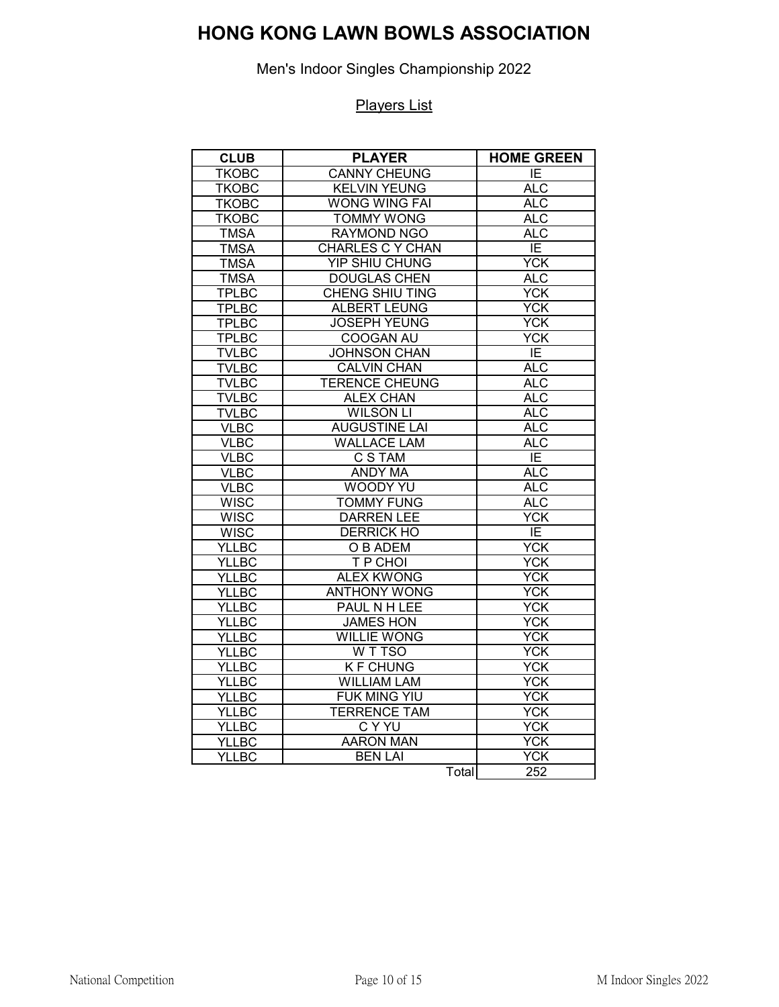Men's Indoor Singles Championship 2022

| <b>CLUB</b>  | <b>PLAYER</b>           | <b>HOME GREEN</b> |
|--------------|-------------------------|-------------------|
| <b>TKOBC</b> | <b>CANNY CHEUNG</b>     | E                 |
| <b>TKOBC</b> | <b>KELVIN YEUNG</b>     | <b>ALC</b>        |
| <b>TKOBC</b> | <b>WONG WING FAI</b>    | <b>ALC</b>        |
| <b>TKOBC</b> | <b>TOMMY WONG</b>       | <b>ALC</b>        |
| <b>TMSA</b>  | <b>RAYMOND NGO</b>      | <b>ALC</b>        |
| <b>TMSA</b>  | <b>CHARLES C Y CHAN</b> | ΙE                |
| <b>TMSA</b>  | <b>YIP SHIU CHUNG</b>   | <b>YCK</b>        |
| <b>TMSA</b>  | <b>DOUGLAS CHEN</b>     | <b>ALC</b>        |
| <b>TPLBC</b> | <b>CHENG SHIU TING</b>  | $\overline{YCK}$  |
| <b>TPLBC</b> | <b>ALBERT LEUNG</b>     | YCK               |
| <b>TPLBC</b> | <b>JOSEPH YEUNG</b>     | $\overline{YCK}$  |
| <b>TPLBC</b> | <b>COOGAN AU</b>        | <b>YCK</b>        |
| <b>TVLBC</b> | <b>JOHNSON CHAN</b>     | E                 |
| <b>TVLBC</b> | <b>CALVIN CHAN</b>      | <b>ALC</b>        |
| <b>TVLBC</b> | <b>TERENCE CHEUNG</b>   | <b>ALC</b>        |
| <b>TVLBC</b> | <b>ALEX CHAN</b>        | <b>ALC</b>        |
| <b>TVLBC</b> | <b>WILSON LI</b>        | <b>ALC</b>        |
| <b>VLBC</b>  | <b>AUGUSTINE LAI</b>    | <b>ALC</b>        |
| <b>VLBC</b>  | <b>WALLACE LAM</b>      | <b>ALC</b>        |
| <b>VLBC</b>  | <b>C S TAM</b>          | $\overline{E}$    |
| <b>VLBC</b>  | <b>ANDY MA</b>          | <b>ALC</b>        |
| <b>VLBC</b>  | <b>WOODY YU</b>         | <b>ALC</b>        |
| <b>WISC</b>  | <b>TOMMY FUNG</b>       | <b>ALC</b>        |
| <b>WISC</b>  | <b>DARREN LEE</b>       | <b>YCK</b>        |
| <b>WISC</b>  | <b>DERRICK HO</b>       | ΙE                |
| <b>YLLBC</b> | O B ADEM                | <b>YCK</b>        |
| <b>YLLBC</b> | T P CHOI                | $\overline{YCK}$  |
| <b>YLLBC</b> | <b>ALEX KWONG</b>       | <b>YCK</b>        |
| <b>YLLBC</b> | <b>ANTHONY WONG</b>     | <b>YCK</b>        |
| <b>YLLBC</b> | PAUL N H LEE            | YCK               |
| <b>YLLBC</b> | <b>JAMES HON</b>        | <b>YCK</b>        |
| <b>YLLBC</b> | <b>WILLIE WONG</b>      | YCK               |
| <b>YLLBC</b> | W T TSO                 | <b>YCK</b>        |
| <b>YLLBC</b> | <b>KF CHUNG</b>         | <b>YCK</b>        |
| <b>YLLBC</b> | <b>WILLIAM LAM</b>      | <b>YCK</b>        |
| <b>YLLBC</b> | FUK MING YIU            | <b>YCK</b>        |
| <b>YLLBC</b> | <b>TERRENCE TAM</b>     | <b>YCK</b>        |
| <b>YLLBC</b> | <b>CYYU</b>             | YCK               |
| <b>YLLBC</b> | <b>AARON MAN</b>        | <b>YCK</b>        |
| <b>YLLBC</b> | <b>BEN LAI</b>          | <b>YCK</b>        |
|              | Total                   | 252               |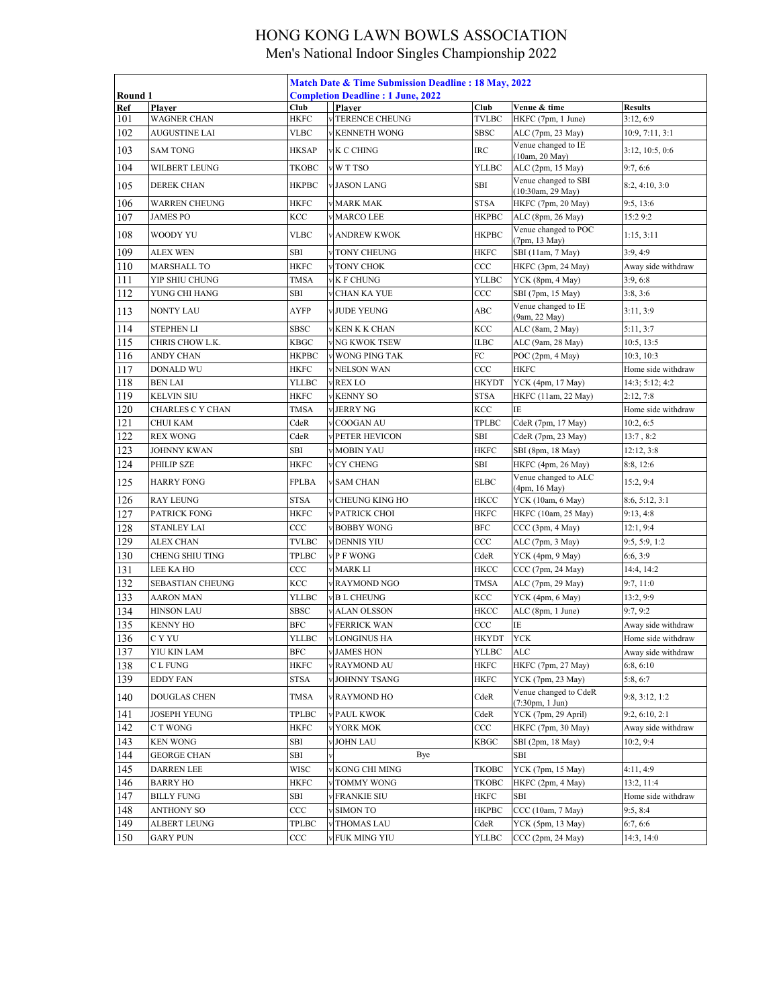|            |                                 | Match Date & Time Submission Deadline: 18 May, 2022 |  |                                          |              |                                                          |                                  |  |  |
|------------|---------------------------------|-----------------------------------------------------|--|------------------------------------------|--------------|----------------------------------------------------------|----------------------------------|--|--|
| Round 1    |                                 |                                                     |  | <b>Completion Deadline: 1 June, 2022</b> |              |                                                          |                                  |  |  |
| Ref        | Player                          | Club                                                |  | Plaver                                   | Club         | Venue & time                                             | <b>Results</b>                   |  |  |
| 101        | <b>WAGNER CHAN</b>              | <b>HKFC</b>                                         |  | <b>V TERENCE CHEUNG</b>                  | TVLBC        | HKFC (7pm, 1 June)                                       | 3:12,6:9                         |  |  |
| 102        | AUGUSTINE LAI                   | VLBC                                                |  | <b>KENNETH WONG</b>                      | SBSC         | ALC (7pm, 23 May)                                        | 10:9, 7:11, 3:1                  |  |  |
| 103        | <b>SAM TONG</b>                 | HKSAP                                               |  | K C CHING                                | IRC          | Venue changed to IE<br>(10am, 20 May)                    | 3:12, 10:5, 0:6                  |  |  |
| 104        | WILBERT LEUNG                   | ТКОВС                                               |  | W T TSO                                  | YLLBC        | ALC (2pm, 15 May)                                        | 9:7, 6:6                         |  |  |
| 105        | <b>DEREK CHAN</b>               | <b>HKPBC</b>                                        |  | JASON LANG                               | SBI          | Venue changed to SBI<br>(10:30am, 29 May)                | 8:2, 4:10, 3:0                   |  |  |
| 106        | WARREN CHEUNG                   | HKFC                                                |  | <b>MARK MAK</b>                          | STSA         | HKFC (7pm, 20 May)                                       | 9:5, 13:6                        |  |  |
| 107        | <b>JAMES PO</b>                 | KCC                                                 |  | <b>MARCO LEE</b>                         | <b>HKPBC</b> | ALC (8pm, 26 May)                                        | 15:29:2                          |  |  |
| 108        | WOODY YU                        | <b>VLBC</b>                                         |  | <b>ANDREW KWOK</b>                       | <b>HKPBC</b> | Venue changed to POC<br>(7pm, 13 May)                    | 1:15, 3:11                       |  |  |
| 109        | ALEX WEN                        | SBI                                                 |  | TONY CHEUNG                              | HKFC         | SBI (11am, 7 May)                                        | 3:9,4:9                          |  |  |
| 110        | <b>MARSHALL TO</b>              | <b>HKFC</b>                                         |  | TONY CHOK                                | $_{\rm CCC}$ | HKFC (3pm, 24 May)                                       | Away side withdraw               |  |  |
| 111        | YIP SHIU CHUNG                  | <b>TMSA</b>                                         |  | <b>K F CHUNG</b>                         | YLLBC        | YCK (8pm, 4 May)                                         | 3:9, 6:8                         |  |  |
| 112        | YUNG CHI HANG                   | SBI                                                 |  | CHAN KA YUE                              | $_{\rm CCC}$ | SBI (7pm, 15 May)                                        | 3:8, 3:6                         |  |  |
| 113        | NONTY LAU                       | AYFP                                                |  | <b>JUDE YEUNG</b>                        | ABC          | Venue changed to IE                                      | 3:11, 3:9                        |  |  |
| 114        | <b>STEPHEN LI</b>               | <b>SBSC</b>                                         |  | <b>KEN K K CHAN</b>                      | KCC          | (9am, 22 May)<br>ALC (8am, 2 May)                        | 5:11, 3:7                        |  |  |
| 115        | CHRIS CHOW L.K.                 | <b>KBGC</b>                                         |  | NG KWOK TSEW                             | ILBC         | ALC (9am, 28 May)                                        | 10:5, 13:5                       |  |  |
| 116        | ANDY CHAN                       | HKPBC                                               |  | WONG PING TAK                            | FC           | POC (2pm, 4 May)                                         | 10:3, 10:3                       |  |  |
| 117        |                                 |                                                     |  | <b>NELSON WAN</b>                        |              | <b>HKFC</b>                                              | Home side withdraw               |  |  |
|            | DONALD WU                       | HKFC                                                |  |                                          | CCC          | YCK (4pm, 17 May)                                        | 14:3; 5:12; 4:2                  |  |  |
| 118        | <b>BEN LAI</b>                  | YLLBC                                               |  | <b>REX LO</b>                            | HKYDT        |                                                          |                                  |  |  |
| 119        | KELVIN SIU                      | <b>HKFC</b>                                         |  | <b>KENNY SO</b>                          | STSA         | HKFC (11am, 22 May)                                      | 2:12,7:8                         |  |  |
| 120        | CHARLES C Y CHAN                | TMSA                                                |  | <b>JERRY NG</b>                          | KCC          | IΕ                                                       | Home side withdraw               |  |  |
| 121        | CHUI KAM                        | CdeR                                                |  | COOGAN AU                                | TPLBC        | CdeR (7pm, 17 May)                                       | 10:2, 6:5                        |  |  |
| 122        | <b>REX WONG</b>                 | CdeR                                                |  | PETER HEVICON                            | SBI          | CdeR (7pm, 23 May)                                       | 13:7,8:2                         |  |  |
| 123        | JOHNNY KWAN                     | SBI                                                 |  | <b>MOBIN YAU</b>                         | HKFC         | SBI (8pm, 18 May)                                        | 12:12, 3:8                       |  |  |
| 124        | PHILIP SZE                      | <b>HKFC</b>                                         |  | <b>CY CHENG</b>                          | SBI          | HKFC (4pm, 26 May)                                       | 8:8, 12:6                        |  |  |
| 125        | <b>HARRY FONG</b>               | <b>FPLBA</b>                                        |  | <b>SAM CHAN</b>                          | <b>ELBC</b>  | Venue changed to ALC<br>(4pm, 16 May)                    | 15:2, 9:4                        |  |  |
| 126        | RAY LEUNG                       | <b>STSA</b>                                         |  | CHEUNG KING HO                           | HKCC         | YCK (10am, 6 May)                                        | 8:6, 5:12, 3:1                   |  |  |
| 127        | PATRICK FONG                    | <b>HKFC</b>                                         |  | PATRICK CHOI                             | HKFC         | HKFC (10am, 25 May)                                      | 9:13, 4:8                        |  |  |
| 128        | <b>STANLEY LAI</b>              | CCC                                                 |  | <b>BOBBY WONG</b>                        | <b>BFC</b>   | CCC (3pm, 4 May)                                         | 12:1, 9:4                        |  |  |
| 129        | ALEX CHAN                       | <b>TVLBC</b>                                        |  | <b>DENNIS YIU</b>                        | ccc          | ALC (7pm, 3 May)                                         | 9:5, 5:9, 1:2                    |  |  |
| 130        | CHENG SHIU TING                 | TPLBC                                               |  | P F WONG                                 | CdeR         | YCK (4pm, 9 May)                                         | 6:6, 3:9                         |  |  |
| 131        | LEE KA HO                       | CCC                                                 |  | <b>MARK LI</b>                           | HKCC         | CCC (7pm, 24 May)                                        | 14:4, 14:2                       |  |  |
| 132        | SEBASTIAN CHEUNG                | KCC                                                 |  | <b>RAYMOND NGO</b>                       | TMSA         | ALC (7pm, 29 May)                                        | 9:7, 11:0                        |  |  |
| 133        | <b>AARON MAN</b>                | <b>YLLBC</b>                                        |  | <b>BL CHEUNG</b>                         | KCC          | YCK (4pm, 6 May)                                         | 13:2, 9:9                        |  |  |
| 134        | <b>HINSON LAU</b>               | <b>SBSC</b>                                         |  | <b>ALAN OLSSON</b>                       | HKCC         | ALC (8pm, 1 June)                                        | 9:7, 9:2                         |  |  |
| 135        | <b>KENNY HO</b>                 | <b>BFC</b>                                          |  | <b>FERRICK WAN</b>                       | $_{\rm CCC}$ | IΕ                                                       | Away side withdraw               |  |  |
| 136        | C Y YU                          | <b>YLLBC</b>                                        |  | v LONGINUS HA                            | <b>HKYDT</b> | <b>YCK</b>                                               | Home side withdraw               |  |  |
| 137        | YIU KIN LAM                     | <b>BFC</b>                                          |  | <b>v JAMES HON</b>                       | <b>YLLBC</b> | ALC                                                      | Away side withdraw               |  |  |
| 138        | C L FUNG                        | HKFC                                                |  | <b>RAYMOND AU</b>                        | HKFC         | HKFC (7pm, 27 May)                                       | 6:8, 6:10                        |  |  |
|            |                                 |                                                     |  |                                          |              | YCK (7pm, 23 May)                                        |                                  |  |  |
| 139<br>140 | <b>EDDY FAN</b><br>DOUGLAS CHEN | STSA<br>TMSA                                        |  | JOHNNY TSANG<br><b>RAYMOND HO</b>        | HKFC<br>CdeR | Venue changed to CdeR                                    | 5:8, 6:7<br>9:8, 3:12, 1:2       |  |  |
| 141        | JOSEPH YEUNG                    | TPLBC                                               |  | PAUL KWOK                                | CdeR         | $(7:30 \text{pm}, 1 \text{ Jun})$<br>YCK (7pm, 29 April) | 9:2, 6:10, 2:1                   |  |  |
| 142        | C T WONG                        | HKFC                                                |  | YORK MOK                                 | $_{\rm CCC}$ | HKFC (7pm, 30 May)                                       | Away side withdraw               |  |  |
| 143        | <b>KEN WONG</b>                 | SBI                                                 |  | <b>JOHN LAU</b>                          | KBGC         | SBI (2pm, 18 May)                                        | 10:2, 9:4                        |  |  |
| 144        | <b>GEORGE CHAN</b>              | SBI                                                 |  | Bye                                      |              | SBI                                                      |                                  |  |  |
| 145        | <b>DARREN LEE</b>               | <b>WISC</b>                                         |  | KONG CHI MING                            | ТКОВС        | YCK (7pm, 15 May)                                        | 4:11, 4:9                        |  |  |
| 146        | <b>BARRY HO</b>                 |                                                     |  | TOMMY WONG                               | ТКОВС        | HKFC (2pm, 4 May)                                        |                                  |  |  |
|            |                                 | HKFC                                                |  |                                          |              | SBI                                                      | 13:2, 11:4<br>Home side withdraw |  |  |
| 147        | BILLY FUNG                      | SBI<br>CCC                                          |  | <b>FRANKIE SIU</b><br><b>SIMON TO</b>    | HKFC         | CCC (10am, 7 May)                                        | 9:5, 8:4                         |  |  |
| 148        | ANTHONY SO                      |                                                     |  |                                          | НКРВС        |                                                          |                                  |  |  |
| 149        | ALBERT LEUNG                    | TPLBC                                               |  | THOMAS LAU                               | CdeR         | YCK (5pm, 13 May)                                        | 6:7,6:6                          |  |  |
| 150        | <b>GARY PUN</b>                 | $_{\rm CCC}$                                        |  | FUK MING YIU                             | YLLBC        | CCC (2pm, 24 May)                                        | 14:3, 14:0                       |  |  |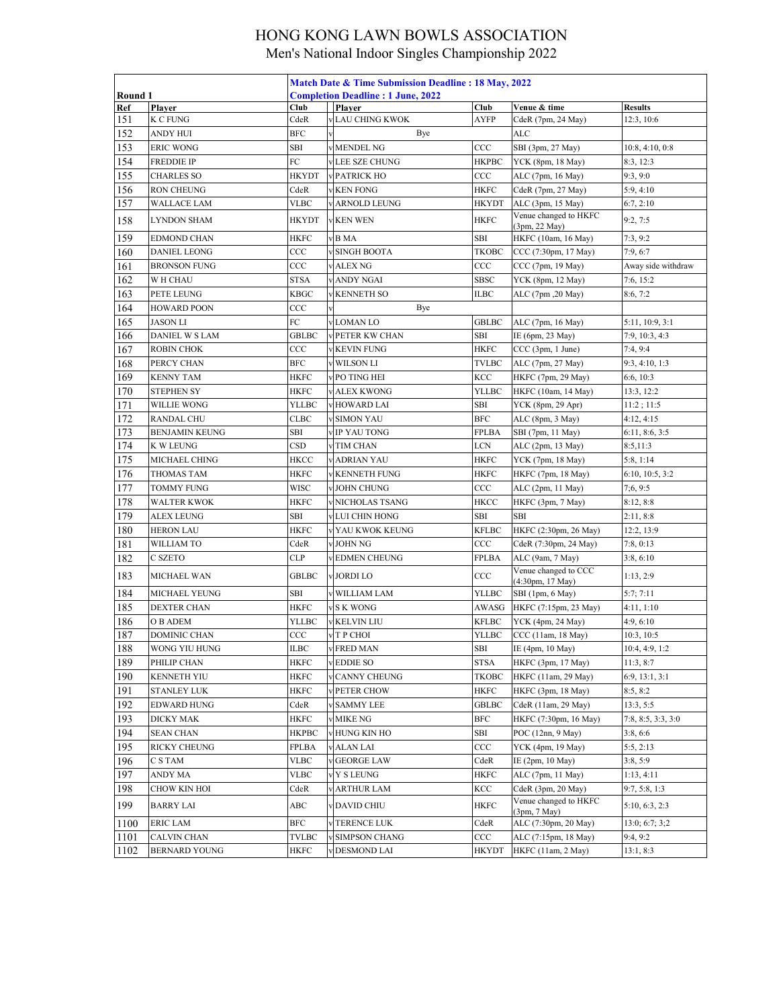|            |                       | Match Date & Time Submission Deadline: 18 May, 2022 |  |                                          |              |                                          |                              |  |  |
|------------|-----------------------|-----------------------------------------------------|--|------------------------------------------|--------------|------------------------------------------|------------------------------|--|--|
| Round 1    |                       |                                                     |  | <b>Completion Deadline: 1 June, 2022</b> |              |                                          |                              |  |  |
| Ref<br>151 | Plaver<br>K C FUNG    | Club<br>CdeR                                        |  | Player<br><b>VLAU CHING KWOK</b>         | Club<br>AYFP | Venue & time<br>CdeR (7pm, 24 May)       | <b>Results</b><br>12:3, 10:6 |  |  |
| 152        | ANDY HUI              | <b>BFC</b>                                          |  | Bye                                      |              | ALC                                      |                              |  |  |
| 153        | <b>ERIC WONG</b>      | SBI                                                 |  | <b>MENDEL NG</b>                         | CCC          | SBI (3pm, 27 May)                        | 10:8, 4:10, 0:8              |  |  |
| 154        | FREDDIE IP            | FC                                                  |  | <b>VLEE SZE CHUNG</b>                    | НКРВС        | YCK (8pm, 18 May)                        | 8:3, 12:3                    |  |  |
| 155        | <b>CHARLES SO</b>     | <b>HKYDT</b>                                        |  | PATRICK HO                               | CCC          | ALC (7pm, 16 May)                        | 9:3, 9:0                     |  |  |
| 156        | <b>RON CHEUNG</b>     | CdeR                                                |  | <b>KEN FONG</b>                          | HKFC         | CdeR (7pm, 27 May)                       | 5:9, 4:10                    |  |  |
| 157        | WALLACE LAM           | <b>VLBC</b>                                         |  | ARNOLD LEUNG                             | HKYDT        | ALC (3pm, 15 May)                        | 6:7,2:10                     |  |  |
| 158        | LYNDON SHAM           | <b>HKYDT</b>                                        |  | <b>KEN WEN</b>                           | <b>HKFC</b>  | Venue changed to HKFC<br>(3pm, 22 May)   | 9:2,7:5                      |  |  |
| 159        | EDMOND CHAN           | <b>HKFC</b>                                         |  | B MA                                     | SBI          | HKFC (10am, 16 May)                      | 7:3, 9:2                     |  |  |
| 160        | <b>DANIEL LEONG</b>   | CCC                                                 |  | <b>SINGH BOOTA</b>                       | <b>TKOBC</b> | CCC (7:30pm, 17 May)                     | 7:9, 6:7                     |  |  |
| 161        | <b>BRONSON FUNG</b>   | CCC                                                 |  | <b>ALEX NG</b>                           | $_{\rm CCC}$ | CCC (7pm, 19 May)                        | Away side withdraw           |  |  |
| 162        | W H CHAU              | <b>STSA</b>                                         |  | ANDY NGAI                                | SBSC         | YCK (8pm, 12 May)                        | 7:6, 15:2                    |  |  |
| 163        | PETE LEUNG            | <b>KBGC</b>                                         |  | <b>KENNETH SO</b>                        | ILBC         | ALC (7pm , 20 May)                       | 8:6, 7:2                     |  |  |
| 164        | <b>HOWARD POON</b>    | CCC                                                 |  | Bye                                      |              |                                          |                              |  |  |
| 165        | <b>JASON LI</b>       | ${\rm FC}$                                          |  | V LOMAN LO                               | GBLBC        | ALC (7pm, 16 May)                        | 5:11, 10:9, 3:1              |  |  |
| 166        | DANIEL W S LAM        | GBLBC                                               |  | PETER KW CHAN                            | SBI          | IE (6pm, 23 May)                         | 7:9, 10:3, 4:3               |  |  |
| 167        | <b>ROBIN CHOK</b>     | CCC                                                 |  | <b>KEVIN FUNG</b>                        | HKFC         | CCC (3pm, 1 June)                        | 7:4, 9:4                     |  |  |
| 168        | PERCY CHAN            | <b>BFC</b>                                          |  | <b>WILSON LI</b>                         | TVLBC        | ALC (7pm, 27 May)                        | 9:3, 4:10, 1:3               |  |  |
| 169        | <b>KENNY TAM</b>      | <b>HKFC</b>                                         |  | V PO TING HEI                            | KCC          | HKFC (7pm, 29 May)                       | 6:6, 10:3                    |  |  |
| 170        | <b>STEPHEN SY</b>     | HKFC                                                |  | <b>ALEX KWONG</b>                        | YLLBC        | HKFC (10am, 14 May)                      | 13:3, 12:2                   |  |  |
| 171        | <b>WILLIE WONG</b>    | YLLBC                                               |  | <b>HOWARD LAI</b>                        | SBI          | YCK (8pm, 29 Apr)                        | 11:2;11:5                    |  |  |
| 172        | <b>RANDAL CHU</b>     | CLBC                                                |  | <b>SIMON YAU</b>                         | BFC          | ALC (8pm, 3 May)                         | 4:12, 4:15                   |  |  |
| 173        | <b>BENJAMIN KEUNG</b> | SBI                                                 |  | IP YAU TONG                              | FPLBA        | SBI (7pm, 11 May)                        | 6:11, 8:6, 3:5               |  |  |
| 174        | K W LEUNG             | CSD                                                 |  | TIM CHAN                                 | LCN          | ALC (2pm, 13 May)                        | 8:5,11:3                     |  |  |
| 175        | MICHAEL CHING         | HKCC                                                |  | <b>ADRIAN YAU</b>                        | HKFC         | YCK (7pm, 18 May)                        | 5:8, 1:14                    |  |  |
| 176        | THOMAS TAM            | <b>HKFC</b>                                         |  | <b>KENNETH FUNG</b>                      | HKFC         | HKFC (7pm, 18 May)                       | 6:10, 10:5, 3:2              |  |  |
| 177        | <b>TOMMY FUNG</b>     | <b>WISC</b>                                         |  | <b>V JOHN CHUNG</b>                      | CCC          | ALC (2pm, 11 May)                        | 7;6,9:5                      |  |  |
| 178        | <b>WALTER KWOK</b>    | <b>HKFC</b>                                         |  | NICHOLAS TSANG                           | HKCC         | HKFC (3pm, 7 May)                        | 8:12, 8:8                    |  |  |
| 179        | ALEX LEUNG            | SBI                                                 |  | LUI CHIN HONG                            | SBI          | SBI                                      | 2:11, 8:8                    |  |  |
| 180        | HERON LAU             | <b>HKFC</b>                                         |  | v YAU KWOK KEUNG                         | KFLBC        | HKFC (2:30pm, 26 May)                    | 12:2, 13:9                   |  |  |
| 181        | WILLIAM TO            | CdeR                                                |  | <b>JOHN NG</b>                           | $_{\rm CCC}$ | CdeR (7:30pm, 24 May)                    | 7:8, 0:13                    |  |  |
| 182        | C SZETO               | <b>CLP</b>                                          |  | <b>EDMEN CHEUNG</b>                      | FPLBA        | ALC (9am, 7 May)                         | 3:8, 6:10                    |  |  |
| 183        | MICHAEL WAN           | <b>GBLBC</b>                                        |  | v JORDI LO                               | CCC          | Venue changed to CCC<br>(4:30pm, 17 May) | 1:13,2:9                     |  |  |
| 184        | MICHAEL YEUNG         | <b>SBI</b>                                          |  | WILLIAM LAM                              | YLLBC        | SBI (1pm, 6 May)                         | 5:7;7:11                     |  |  |
| 185        | <b>DEXTER CHAN</b>    | <b>HKFC</b>                                         |  | v S K WONG                               | AWASG        | HKFC (7:15pm, 23 May)                    | 4:11, 1:10                   |  |  |
| 186        | O B ADEM              | YLLBC                                               |  | <b>KELVIN LIU</b>                        | KFLBC        | YCK (4pm, 24 May)                        | 4:9, 6:10                    |  |  |
| 187        | DOMINIC CHAN          | $_{\rm CCC}$                                        |  | T P CHOI                                 | YLLBC        | CCC (11am, 18 May)                       | 10:3, 10:5                   |  |  |
| 188        | WONG YIU HUNG         | <b>ILBC</b>                                         |  | <b>v FRED MAN</b>                        | SBI          | IE (4pm, 10 May)                         | 10:4, 4:9, 1:2               |  |  |
| 189        | PHILIP CHAN           | <b>HKFC</b>                                         |  | <b>EDDIE SO</b>                          | <b>STSA</b>  | HKFC (3pm, 17 May)                       | 11:3, 8:7                    |  |  |
| 190        | KENNETH YIU           | HKFC                                                |  | CANNY CHEUNG                             | ТКОВС        | HKFC (11am, 29 May)                      | 6:9, 13:1, 3:1               |  |  |
| 191        | STANLEY LUK           | HKFC                                                |  | PETER CHOW                               | HKFC         | HKFC (3pm, 18 May)                       | 8:5, 8:2                     |  |  |
| 192        | EDWARD HUNG           | CdeR                                                |  | <b>SAMMY LEE</b>                         | GBLBC        | CdeR (11am, 29 May)                      | 13:3, 5:5                    |  |  |
| 193        | DICKY MAK             | HKFC                                                |  | <b>MIKE NG</b>                           | BFC          | HKFC (7:30pm, 16 May)                    | 7:8, 8:5, 3:3, 3:0           |  |  |
| 194        | <b>SEAN CHAN</b>      | НКРВС                                               |  | HUNG KIN HO                              | SBI          | POC (12nn, 9 May)                        | 3:8,6:6                      |  |  |
| 195        | <b>RICKY CHEUNG</b>   | FPLBA                                               |  | / ALAN LAI                               | CCC          | YCK (4pm, 19 May)                        | 5:5, 2:13                    |  |  |
| 196        | C S TAM               | <b>VLBC</b>                                         |  | <b>GEORGE LAW</b>                        | CdeR         | IE (2pm, 10 May)                         | 3:8, 5:9                     |  |  |
| 197        | ANDY MA               | <b>VLBC</b>                                         |  | <b>Y S LEUNG</b>                         | HKFC         | ALC (7pm, 11 May)                        | 1:13, 4:11                   |  |  |
| 198        | CHOW KIN HOI          | CdeR                                                |  | <b>ARTHUR LAM</b>                        | KCC          | CdeR (3pm, 20 May)                       | 9:7, 5:8, 1:3                |  |  |
| 199        | <b>BARRY LAI</b>      | ABC                                                 |  | DAVID CHIU                               | HKFC         | Venue changed to HKFC<br>(3pm, 7 May)    | 5:10, 6:3, 2:3               |  |  |
| 1100       | ERIC LAM              | BFC                                                 |  | TERENCE LUK                              | CdeR         | ALC (7:30pm, 20 May)                     | 13:0; 6:7; 3;2               |  |  |
| 1101       | CALVIN CHAN           | <b>TVLBC</b>                                        |  | SIMPSON CHANG                            | $_{\rm CCC}$ | ALC (7:15pm, 18 May)                     | 9:4, 9:2                     |  |  |
| 1102       | <b>BERNARD YOUNG</b>  | HKFC                                                |  | <b>DESMOND LAI</b>                       | HKYDT        | HKFC (11am, 2 May)                       | 13:1, 8:3                    |  |  |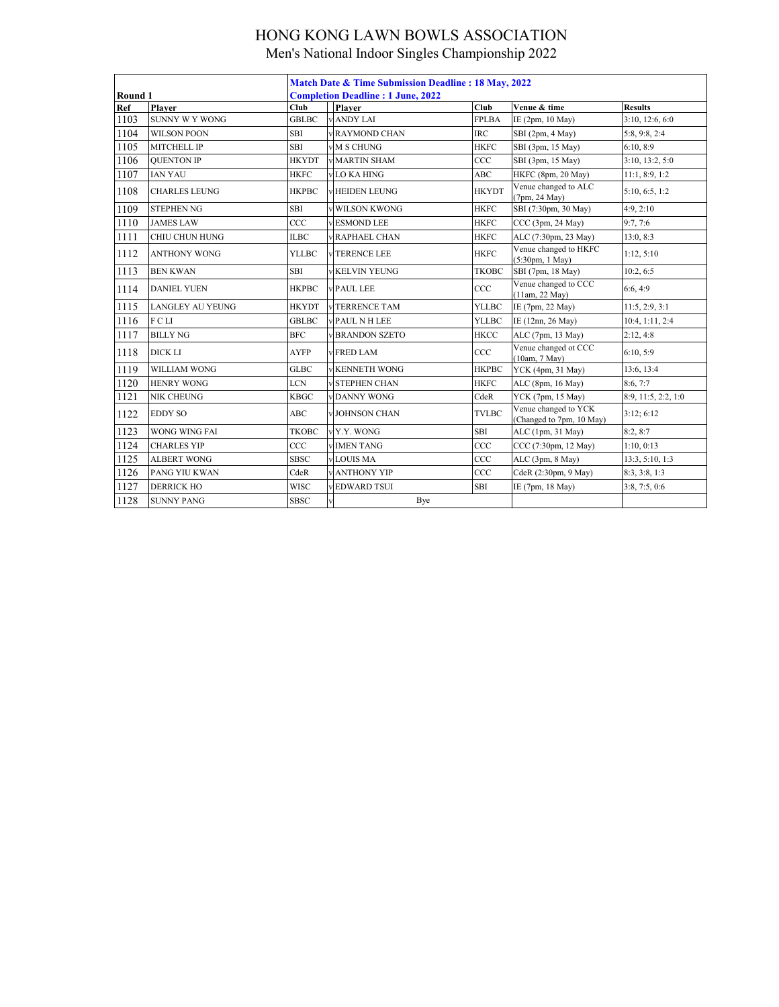|                   |                         | <b>Match Date &amp; Time Submission Deadline: 18 May, 2022</b> |                        |              |                                                            |                     |  |  |  |
|-------------------|-------------------------|----------------------------------------------------------------|------------------------|--------------|------------------------------------------------------------|---------------------|--|--|--|
| Round 1           |                         | <b>Completion Deadline: 1 June, 2022</b>                       |                        |              |                                                            |                     |  |  |  |
| Ref               | Player                  | Club                                                           | Player                 | Club         | Venue & time                                               | <b>Results</b>      |  |  |  |
| 1103              | <b>SUNNY W Y WONG</b>   | <b>GBLBC</b>                                                   | <b>ANDY LAI</b>        | <b>FPLBA</b> | IE (2pm, 10 May)                                           | 3:10, 12:6, 6:0     |  |  |  |
| 1104              | <b>WILSON POON</b>      | <b>SBI</b>                                                     | <b>v RAYMOND CHAN</b>  | <b>IRC</b>   | SBI (2pm, 4 May)                                           | 5:8, 9:8, 2:4       |  |  |  |
| 1105              | MITCHELL IP             | <b>SBI</b>                                                     | <b>v</b> M S CHUNG     | <b>HKFC</b>  | SBI (3pm, 15 May)                                          | 6:10, 8:9           |  |  |  |
| 1106              | <b>QUENTON IP</b>       | <b>HKYDT</b>                                                   | <b>v MARTIN SHAM</b>   | CCC          | SBI (3pm, 15 May)                                          | 3:10, 13:2, 5:0     |  |  |  |
| 1107              | <b>IAN YAU</b>          | <b>HKFC</b>                                                    | LO KA HING             | ABC          | HKFC (8pm, 20 May)                                         | 11:1, 8:9, 1:2      |  |  |  |
| 1108              | <b>CHARLES LEUNG</b>    | <b>HKPBC</b>                                                   | <b>HEIDEN LEUNG</b>    | <b>HKYDT</b> | Venue changed to ALC<br>(7pm, 24 May)                      | 5:10, 6:5, 1:2      |  |  |  |
| 1109              | <b>STEPHEN NG</b>       | <b>SBI</b>                                                     | <b>WILSON KWONG</b>    | <b>HKFC</b>  | SBI (7:30pm, 30 May)                                       | 4:9, 2:10           |  |  |  |
| 1110              | <b>JAMES LAW</b>        | CCC                                                            | <b>ESMOND LEE</b>      | <b>HKFC</b>  | CCC (3pm, 24 May)                                          | 9:7, 7:6            |  |  |  |
| 1111              | CHIU CHUN HUNG          | ILBC                                                           | RAPHAEL CHAN           | <b>HKFC</b>  | ALC (7:30pm, 23 May)                                       | 13:0, 8:3           |  |  |  |
| 1112              | <b>ANTHONY WONG</b>     | YLLBC                                                          | <b>TERENCE LEE</b>     | <b>HKFC</b>  | Venue changed to HKFC<br>$(5:30 \text{pm}, 1 \text{ May})$ | 1:12, 5:10          |  |  |  |
| 1113              | <b>BEN KWAN</b>         | SBI                                                            | <b>KELVIN YEUNG</b>    | <b>TKOBC</b> | SBI (7pm, 18 May)                                          | 10:2, 6:5           |  |  |  |
| 1114              | <b>DANIEL YUEN</b>      | <b>HKPBC</b>                                                   | <b>PAUL LEE</b>        | CCC          | Venue changed to CCC<br>(11am, 22 May)                     | 6:6, 4:9            |  |  |  |
| 1115              | <b>LANGLEY AU YEUNG</b> | <b>HKYDT</b>                                                   | TERRENCE TAM           | <b>YLLBC</b> | IE (7pm, 22 May)                                           | 11:5, 2:9, 3:1      |  |  |  |
| 1116              | FCLI                    | <b>GBLBC</b>                                                   | PAUL N H LEE           | <b>YLLBC</b> | IE (12nn, 26 May)                                          | 10:4, 1:11, 2:4     |  |  |  |
| 1117              | <b>BILLY NG</b>         | <b>BFC</b>                                                     | <b>V BRANDON SZETO</b> | <b>HKCC</b>  | ALC (7pm, 13 May)                                          | 2:12, 4:8           |  |  |  |
| 1118              | DICK LI                 | <b>AYFP</b>                                                    | v FRED LAM             | CCC          | Venue changed ot CCC<br>(10am, 7 May)                      | 6:10, 5:9           |  |  |  |
| 1119              | WILLIAM WONG            | <b>GLBC</b>                                                    | <b>V KENNETH WONG</b>  | <b>HKPBC</b> | YCK (4pm, 31 May)                                          | 13:6, 13:4          |  |  |  |
| 1120              | <b>HENRY WONG</b>       | <b>LCN</b>                                                     | <b>STEPHEN CHAN</b>    | <b>HKFC</b>  | ALC (8pm, 16 May)                                          | 8:6, 7:7            |  |  |  |
| $\overline{11}21$ | NIK CHEUNG              | <b>KBGC</b>                                                    | <b>DANNY WONG</b>      | CdeR         | YCK (7pm, 15 May)                                          | 8:9, 11:5, 2:2, 1:0 |  |  |  |
| 1122              | <b>EDDY SO</b>          | <b>ABC</b>                                                     | V JOHNSON CHAN         | <b>TVLBC</b> | Venue changed to YCK<br>(Changed to 7pm, 10 May)           | 3:12; 6:12          |  |  |  |
| 1123              | <b>WONG WING FAI</b>    | <b>TKOBC</b>                                                   | v Y.Y. WONG            | <b>SBI</b>   | ALC (1pm, 31 May)                                          | 8:2, 8:7            |  |  |  |
| 1124              | <b>CHARLES YIP</b>      | CCC                                                            | <b>VIMENTANG</b>       | CCC          | CCC (7:30pm, 12 May)                                       | 1:10, 0:13          |  |  |  |
| 1125              | <b>ALBERT WONG</b>      | <b>SBSC</b>                                                    | LOUIS MA               | CCC          | ALC (3pm, 8 May)                                           | 13:3, 5:10, 1:3     |  |  |  |
| 1126              | PANG YIU KWAN           | CdeR                                                           | <b>ANTHONY YIP</b>     | CCC          | CdeR (2:30pm, 9 May)                                       | 8:3, 3:8, 1:3       |  |  |  |
| 1127              | <b>DERRICK HO</b>       | <b>WISC</b>                                                    | <b>EDWARD TSUI</b>     | <b>SBI</b>   | IE (7pm, 18 May)                                           | 3:8, 7:5, 0:6       |  |  |  |
| 1128              | <b>SUNNY PANG</b>       | <b>SBSC</b>                                                    |                        | Bye          |                                                            |                     |  |  |  |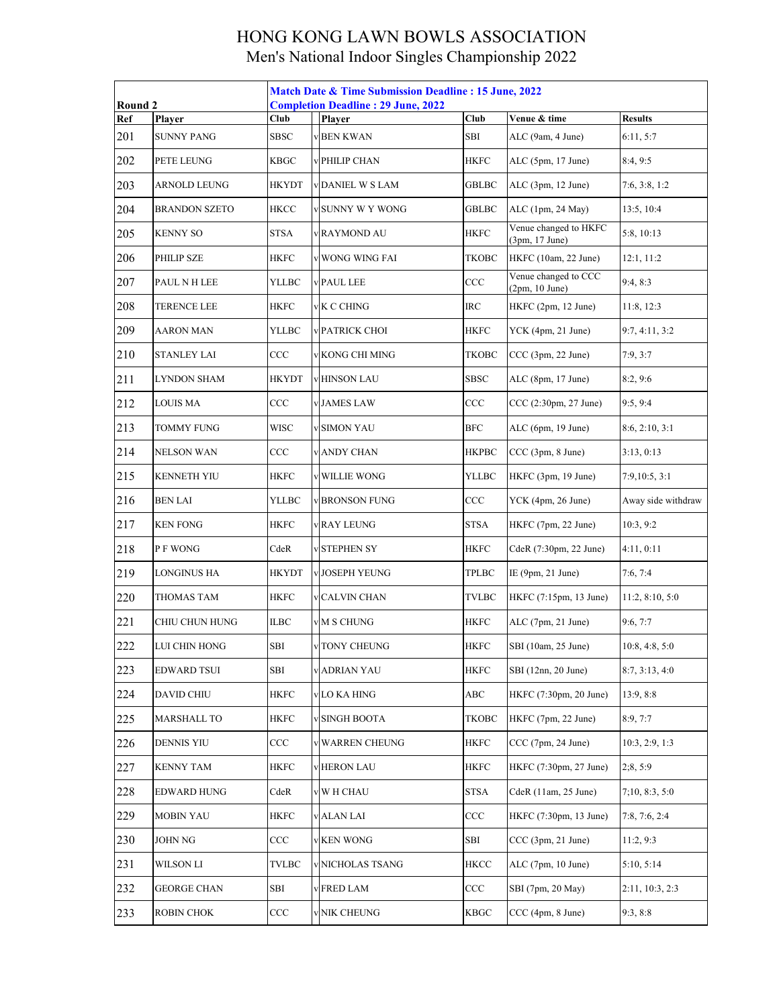| Round 2              |                    | <b>Match Date &amp; Time Submission Deadline : 15 June, 2022</b><br><b>Completion Deadline: 29 June, 2022</b> |  |                      |              |                                         |                    |  |
|----------------------|--------------------|---------------------------------------------------------------------------------------------------------------|--|----------------------|--------------|-----------------------------------------|--------------------|--|
| Player<br><b>Ref</b> |                    | Club                                                                                                          |  | Player               | Club         | Venue & time                            | <b>Results</b>     |  |
| 201                  | <b>SUNNY PANG</b>  | SBSC                                                                                                          |  | <b>BEN KWAN</b>      | SBI          | ALC (9am, 4 June)                       | 6:11, 5:7          |  |
| 202                  | PETE LEUNG         | <b>KBGC</b>                                                                                                   |  | PHILIP CHAN          | <b>HKFC</b>  | ALC (5pm, 17 June)                      | 8:4, 9:5           |  |
| 203                  | ARNOLD LEUNG       | <b>HKYDT</b>                                                                                                  |  | DANIEL W S LAM       | <b>GBLBC</b> | ALC (3pm, 12 June)                      | 7:6, 3:8, 1:2      |  |
| 204                  | BRANDON SZETO      | <b>HKCC</b>                                                                                                   |  | SUNNY W Y WONG       | <b>GBLBC</b> | ALC (1pm, 24 May)                       | 13:5, 10:4         |  |
| 205                  | <b>KENNY SO</b>    | STSA                                                                                                          |  | <b>RAYMOND AU</b>    | HKFC         | Venue changed to HKFC<br>(3pm, 17 June) | 5:8, 10:13         |  |
| 206                  | PHILIP SZE         | HKFC                                                                                                          |  | WONG WING FAI        | <b>TKOBC</b> | HKFC (10am, 22 June)                    | 12:1, 11:2         |  |
| 207                  | PAUL N H LEE       | YLLBC                                                                                                         |  | PAUL LEE             | CCC          | Venue changed to CCC<br>(2pm, 10 June)  | 9:4, 8:3           |  |
| 208                  | <b>TERENCE LEE</b> | <b>HKFC</b>                                                                                                   |  | K C CHING            | $\rm IRC$    | HKFC (2pm, 12 June)                     | 11:8, 12:3         |  |
| 209                  | <b>AARON MAN</b>   | YLLBC                                                                                                         |  | PATRICK CHOI         | <b>HKFC</b>  | YCK (4pm, 21 June)                      | 9:7, 4:11, 3:2     |  |
| 210                  | <b>STANLEY LAI</b> | CCC                                                                                                           |  | KONG CHI MING        | TKOBC        | CCC (3pm, 22 June)                      | 7:9,3:7            |  |
| 211                  | LYNDON SHAM        | HKYDT                                                                                                         |  | <b>HINSON LAU</b>    | <b>SBSC</b>  | ALC (8pm, 17 June)                      | 8:2,9:6            |  |
| 212                  | <b>LOUIS MA</b>    | CCC                                                                                                           |  | JAMES LAW            | CCC          | CCC (2:30pm, 27 June)                   | 9:5, 9:4           |  |
| 213                  | <b>TOMMY FUNG</b>  | <b>WISC</b>                                                                                                   |  | <b>SIMON YAU</b>     | <b>BFC</b>   | ALC (6pm, 19 June)                      | 8:6, 2:10, 3:1     |  |
| 214                  | NELSON WAN         | CCC                                                                                                           |  | <b>v ANDY CHAN</b>   | <b>HKPBC</b> | CCC (3pm, 8 June)                       | 3:13, 0:13         |  |
| 215                  | <b>KENNETH YIU</b> | <b>HKFC</b>                                                                                                   |  | <b>WILLIE WONG</b>   | YLLBC        | HKFC (3pm, 19 June)                     | 7:9,10:5,3:1       |  |
| 216                  | <b>BEN LAI</b>     | YLLBC                                                                                                         |  | <b>BRONSON FUNG</b>  | $_{\rm CCC}$ | YCK (4pm, 26 June)                      | Away side withdraw |  |
| 217                  | <b>KEN FONG</b>    | HKFC                                                                                                          |  | <b>RAY LEUNG</b>     | <b>STSA</b>  | HKFC (7pm, 22 June)                     | 10:3, 9:2          |  |
| 218                  | P F WONG           | CdeR                                                                                                          |  | <b>STEPHEN SY</b>    | <b>HKFC</b>  | CdeR (7:30pm, 22 June)                  | 4:11,0:11          |  |
| 219                  | LONGINUS HA        | <b>HKYDT</b>                                                                                                  |  | <b>JOSEPH YEUNG</b>  | <b>TPLBC</b> | IE (9pm, 21 June)                       | 7:6, 7:4           |  |
| 220                  | THOMAS TAM         | <b>HKFC</b>                                                                                                   |  | <b>CALVIN CHAN</b>   | TVLBC        | HKFC (7:15pm, 13 June)                  | 11:2, 8:10, 5:0    |  |
| 221                  | CHIU CHUN HUNG     | ILBC                                                                                                          |  | M S CHUNG            | <b>HKFC</b>  | ALC (7pm, 21 June)                      | 9:6, 7:7           |  |
| 222                  | LUI CHIN HONG      | SBI                                                                                                           |  | v TONY CHEUNG        | <b>HKFC</b>  | SBI (10am, 25 June)                     | 10:8, 4:8, 5:0     |  |
| 223                  | EDWARD TSUI        | SBI                                                                                                           |  | v ADRIAN YAU         | <b>HKFC</b>  | SBI (12nn, 20 June)                     | 8:7, 3:13, 4:0     |  |
| 224                  | <b>DAVID CHIU</b>  | <b>HKFC</b>                                                                                                   |  | v LO KA HING         | ABC          | HKFC (7:30pm, 20 June)                  | 13:9, 8:8          |  |
| 225                  | <b>MARSHALL TO</b> | <b>HKFC</b>                                                                                                   |  | <b>SINGH BOOTA</b>   | TKOBC        | HKFC (7pm, 22 June)                     | 8:9, 7:7           |  |
| 226                  | <b>DENNIS YIU</b>  | CCC                                                                                                           |  | <b>WARREN CHEUNG</b> | <b>HKFC</b>  | CCC (7pm, 24 June)                      | 10:3, 2:9, 1:3     |  |
| 227                  | KENNY TAM          | HKFC                                                                                                          |  | <b>HERON LAU</b>     | HKFC         | HKFC (7:30pm, 27 June)                  | 2;8,5:9            |  |
| 228                  | <b>EDWARD HUNG</b> | CdeR                                                                                                          |  | W H CHAU             | <b>STSA</b>  | CdeR (11am, 25 June)                    | 7;10, 8:3, 5:0     |  |
| 229                  | <b>MOBIN YAU</b>   | <b>HKFC</b>                                                                                                   |  | <b>v</b> ALAN LAI    | CCC          | HKFC (7:30pm, 13 June)                  | 7:8, 7:6, 2:4      |  |
| 230                  | JOHN NG            | CCC                                                                                                           |  | <b>KEN WONG</b>      | SBI          | CCC(3pm, 21 June)                       | 11:2, 9:3          |  |
| 231                  | WILSON LI          | TVLBC                                                                                                         |  | NICHOLAS TSANG       | <b>HKCC</b>  | ALC (7pm, 10 June)                      | 5:10, 5:14         |  |
| 232                  | GEORGE CHAN        | SBI                                                                                                           |  | <b>FRED LAM</b>      | CCC          | SBI (7pm, 20 May)                       | 2:11, 10:3, 2:3    |  |
| 233                  | ROBIN CHOK         | CCC                                                                                                           |  | <b>NIK CHEUNG</b>    | <b>KBGC</b>  | CCC (4pm, 8 June)                       | 9:3, 8:8           |  |